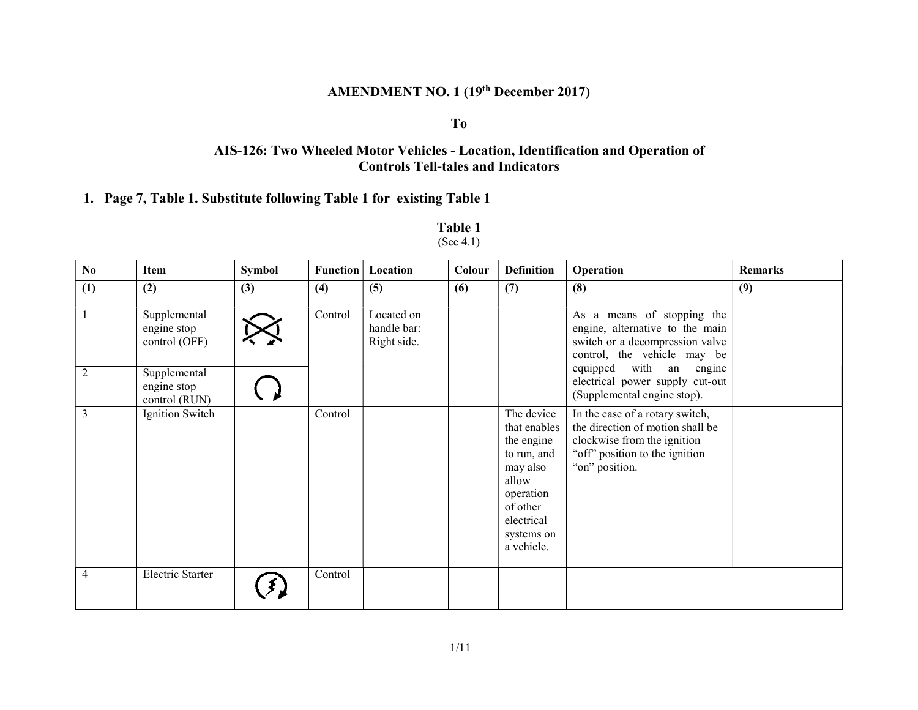# AMENDMENT NO. 1 (19th December 2017)

#### To

# AIS-126: Two Wheeled Motor Vehicles - Location, Identification and Operation of Controls Tell-tales and Indicators

#### 1. Page 7, Table 1. Substitute following Table 1 for existing Table 1

| No.            | Item                                         | <b>Symbol</b> | <b>Function</b> | Location                                 | Colour | <b>Definition</b>                                                                                                                               | Operation                                                                                                                                              | <b>Remarks</b> |
|----------------|----------------------------------------------|---------------|-----------------|------------------------------------------|--------|-------------------------------------------------------------------------------------------------------------------------------------------------|--------------------------------------------------------------------------------------------------------------------------------------------------------|----------------|
| (1)            | (2)                                          | (3)           | (4)             | (5)                                      | (6)    | (7)                                                                                                                                             | (8)                                                                                                                                                    | (9)            |
| 1              | Supplemental<br>engine stop<br>control (OFF) |               | Control         | Located on<br>handle bar:<br>Right side. |        |                                                                                                                                                 | As a means of stopping the<br>engine, alternative to the main<br>switch or a decompression valve<br>control, the vehicle may be                        |                |
| 2              | Supplemental<br>engine stop<br>control (RUN) |               |                 |                                          |        |                                                                                                                                                 | equipped with an engine<br>electrical power supply cut-out<br>(Supplemental engine stop).                                                              |                |
| 3              | Ignition Switch                              |               | Control         |                                          |        | The device<br>that enables<br>the engine<br>to run, and<br>may also<br>allow<br>operation<br>of other<br>electrical<br>systems on<br>a vehicle. | In the case of a rotary switch,<br>the direction of motion shall be<br>clockwise from the ignition<br>"off" position to the ignition<br>"on" position. |                |
| $\overline{4}$ | Electric Starter                             |               | Control         |                                          |        |                                                                                                                                                 |                                                                                                                                                        |                |

#### Table 1 (See 4.1)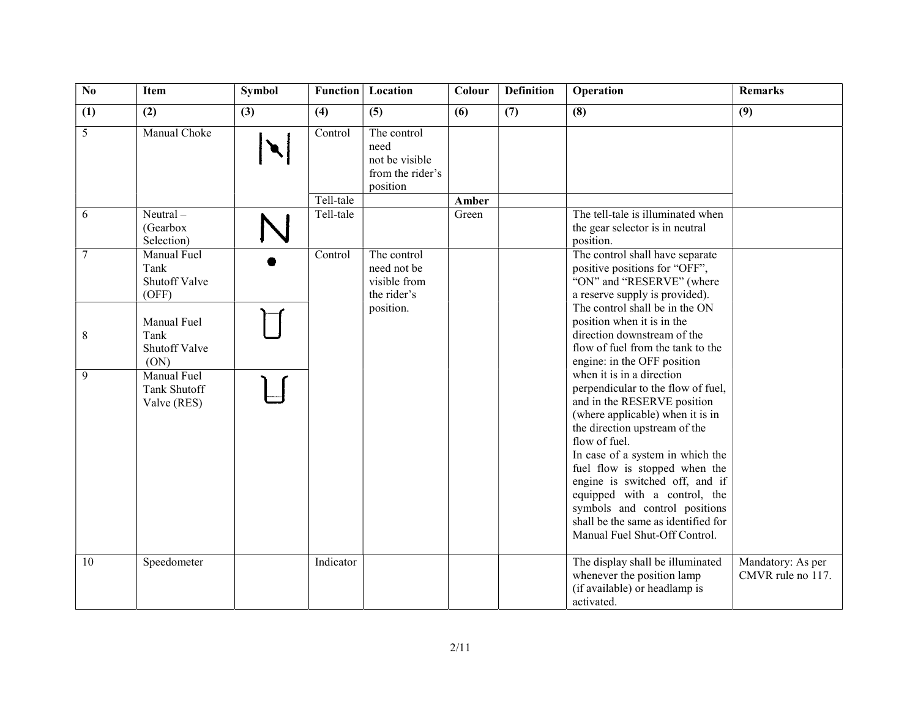| No    | Item                                          | Symbol | Function             | Location                                                              | Colour | <b>Definition</b> | Operation                                                                                                                                                                                                                                                                                                                                                                                                                            | <b>Remarks</b>                         |
|-------|-----------------------------------------------|--------|----------------------|-----------------------------------------------------------------------|--------|-------------------|--------------------------------------------------------------------------------------------------------------------------------------------------------------------------------------------------------------------------------------------------------------------------------------------------------------------------------------------------------------------------------------------------------------------------------------|----------------------------------------|
| (1)   | (2)                                           | (3)    | (4)                  | (5)                                                                   | (6)    | (7)               | (8)                                                                                                                                                                                                                                                                                                                                                                                                                                  | (9)                                    |
| 5     | Manual Choke                                  |        | Control<br>Tell-tale | The control<br>need<br>not be visible<br>from the rider's<br>position | Amber  |                   |                                                                                                                                                                                                                                                                                                                                                                                                                                      |                                        |
|       | $Neutral -$                                   |        |                      |                                                                       | Green  |                   | The tell-tale is illuminated when                                                                                                                                                                                                                                                                                                                                                                                                    |                                        |
| 6     | (Gearbox<br>Selection)                        |        | Tell-tale            |                                                                       |        |                   | the gear selector is in neutral<br>position.                                                                                                                                                                                                                                                                                                                                                                                         |                                        |
| 7     | Manual Fuel<br>Tank<br>Shutoff Valve<br>(OFF) |        | Control              | The control<br>need not be<br>visible from<br>the rider's             |        |                   | The control shall have separate<br>positive positions for "OFF",<br>"ON" and "RESERVE" (where<br>a reserve supply is provided).                                                                                                                                                                                                                                                                                                      |                                        |
| $8\,$ | Manual Fuel<br>Tank<br>Shutoff Valve<br>(ON)  |        |                      | position.                                                             |        |                   | The control shall be in the ON<br>position when it is in the<br>direction downstream of the<br>flow of fuel from the tank to the<br>engine: in the OFF position                                                                                                                                                                                                                                                                      |                                        |
| 9     | Manual Fuel<br>Tank Shutoff<br>Valve (RES)    |        |                      |                                                                       |        |                   | when it is in a direction<br>perpendicular to the flow of fuel,<br>and in the RESERVE position<br>(where applicable) when it is in<br>the direction upstream of the<br>flow of fuel.<br>In case of a system in which the<br>fuel flow is stopped when the<br>engine is switched off, and if<br>equipped with a control, the<br>symbols and control positions<br>shall be the same as identified for<br>Manual Fuel Shut-Off Control. |                                        |
| 10    | Speedometer                                   |        | Indicator            |                                                                       |        |                   | The display shall be illuminated<br>whenever the position lamp<br>(if available) or headlamp is<br>activated.                                                                                                                                                                                                                                                                                                                        | Mandatory: As per<br>CMVR rule no 117. |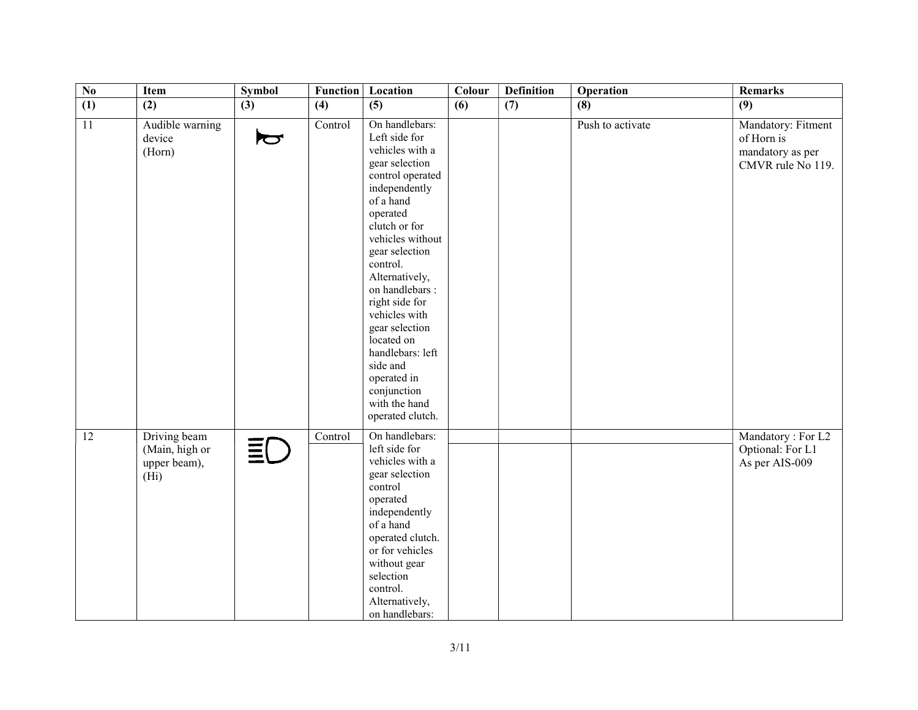| $\overline{\text{No}}$ | Item                                                                | <b>Symbol</b>         | <b>Function</b> | Location                                                                                                                                                                                                                                                                                                                                                                                                         | Colour | <b>Definition</b> | Operation        | <b>Remarks</b>                                                            |
|------------------------|---------------------------------------------------------------------|-----------------------|-----------------|------------------------------------------------------------------------------------------------------------------------------------------------------------------------------------------------------------------------------------------------------------------------------------------------------------------------------------------------------------------------------------------------------------------|--------|-------------------|------------------|---------------------------------------------------------------------------|
| $\overline{1}$         | (2)                                                                 | (3)                   | (4)             | (5)                                                                                                                                                                                                                                                                                                                                                                                                              | (6)    | (7)               | (8)              | (9)                                                                       |
| 11                     | Audible warning<br>device<br>(Horn)                                 | $\blacktriangleright$ | Control         | On handlebars:<br>Left side for<br>vehicles with a<br>gear selection<br>control operated<br>independently<br>of a hand<br>operated<br>clutch or for<br>vehicles without<br>gear selection<br>control.<br>Alternatively,<br>on handlebars :<br>right side for<br>vehicles with<br>gear selection<br>located on<br>handlebars: left<br>side and<br>operated in<br>conjunction<br>with the hand<br>operated clutch. |        |                   | Push to activate | Mandatory: Fitment<br>of Horn is<br>mandatory as per<br>CMVR rule No 119. |
| $\overline{12}$        | Driving beam<br>(Main, high or<br>upper beam),<br>(H <sub>i</sub> ) | ΞC                    | Control         | On handlebars:<br>left side for<br>vehicles with a<br>gear selection<br>control<br>operated<br>independently<br>of a hand<br>operated clutch.<br>or for vehicles<br>without gear<br>selection<br>control.<br>Alternatively,<br>on handlebars:                                                                                                                                                                    |        |                   |                  | Mandatory: For L2<br>Optional: For L1<br>As per AIS-009                   |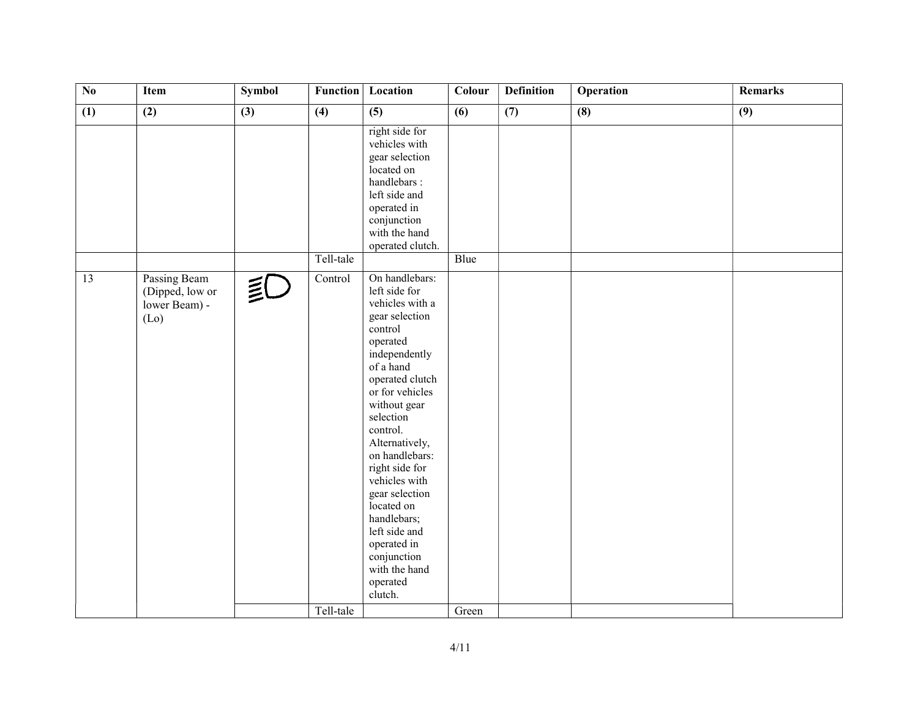| $\overline{No}$ | Item                                                     | Symbol | <b>Function</b> | Location                                                                                                                                                                                                                                                                                                                                                                                                              | Colour | <b>Definition</b> | Operation | <b>Remarks</b> |
|-----------------|----------------------------------------------------------|--------|-----------------|-----------------------------------------------------------------------------------------------------------------------------------------------------------------------------------------------------------------------------------------------------------------------------------------------------------------------------------------------------------------------------------------------------------------------|--------|-------------------|-----------|----------------|
| (1)             | (2)                                                      | (3)    | (4)             | (5)                                                                                                                                                                                                                                                                                                                                                                                                                   | (6)    | (7)               | (8)       | (9)            |
|                 |                                                          |        |                 | right side for<br>vehicles with<br>gear selection<br>located on<br>handlebars:<br>left side and<br>operated in<br>conjunction<br>with the hand<br>operated clutch.                                                                                                                                                                                                                                                    |        |                   |           |                |
|                 |                                                          |        | Tell-tale       |                                                                                                                                                                                                                                                                                                                                                                                                                       | Blue   |                   |           |                |
| 13              | Passing Beam<br>(Dipped, low or<br>lower Beam) -<br>(Lo) | ≦C     | Control         | On handlebars:<br>left side for<br>vehicles with a<br>gear selection<br>control<br>operated<br>independently<br>of a hand<br>operated clutch<br>or for vehicles<br>without gear<br>selection<br>control.<br>Alternatively,<br>on handlebars:<br>right side for<br>vehicles with<br>gear selection<br>located on<br>handlebars;<br>left side and<br>operated in<br>conjunction<br>with the hand<br>operated<br>clutch. |        |                   |           |                |
|                 |                                                          |        | Tell-tale       |                                                                                                                                                                                                                                                                                                                                                                                                                       | Green  |                   |           |                |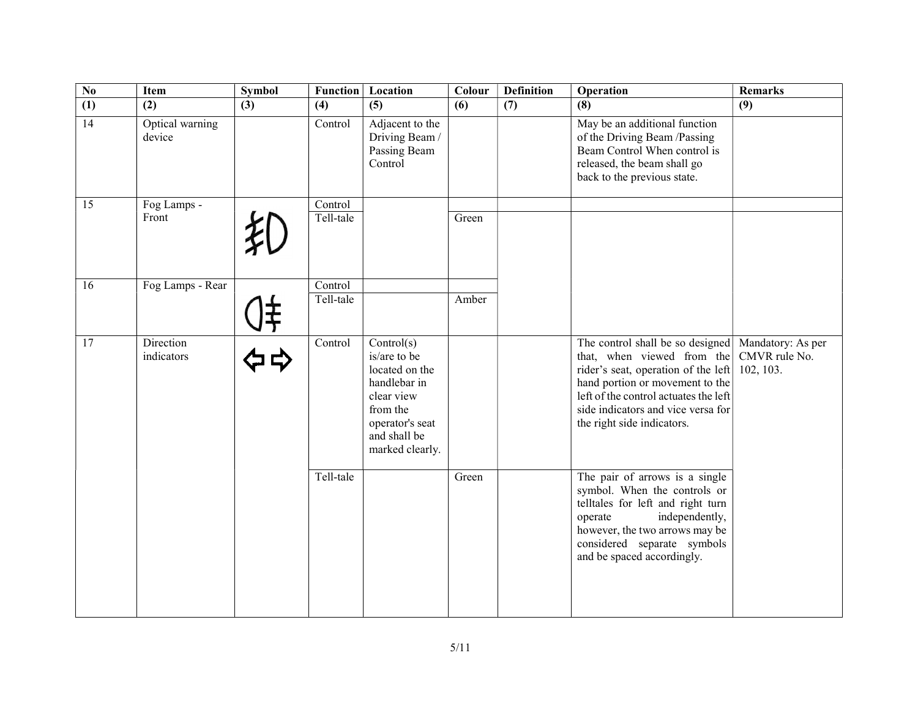| $\overline{No}$ | <b>Item</b>               | <b>Symbol</b> | <b>Function</b>      | Location                                                                                                                                     | Colour | <b>Definition</b> | Operation                                                                                                                                                                                                                                             | <b>Remarks</b>                                  |
|-----------------|---------------------------|---------------|----------------------|----------------------------------------------------------------------------------------------------------------------------------------------|--------|-------------------|-------------------------------------------------------------------------------------------------------------------------------------------------------------------------------------------------------------------------------------------------------|-------------------------------------------------|
| (1)             | (2)                       | (3)           | (4)                  | (5)                                                                                                                                          | (6)    | (7)               | (8)                                                                                                                                                                                                                                                   | (9)                                             |
| 14              | Optical warning<br>device |               | Control              | Adjacent to the<br>Driving Beam /<br>Passing Beam<br>Control                                                                                 |        |                   | May be an additional function<br>of the Driving Beam /Passing<br>Beam Control When control is<br>released, the beam shall go<br>back to the previous state.                                                                                           |                                                 |
| 15              | Fog Lamps -<br>Front      |               | Control<br>Tell-tale |                                                                                                                                              | Green  |                   |                                                                                                                                                                                                                                                       |                                                 |
| 16              | Fog Lamps - Rear          |               | Control<br>Tell-tale |                                                                                                                                              | Amber  |                   |                                                                                                                                                                                                                                                       |                                                 |
| 17              | Direction<br>indicators   |               | Control              | Control(s)<br>is/are to be<br>located on the<br>handlebar in<br>clear view<br>from the<br>operator's seat<br>and shall be<br>marked clearly. |        |                   | The control shall be so designed<br>that, when viewed from the<br>rider's seat, operation of the left<br>hand portion or movement to the<br>left of the control actuates the left<br>side indicators and vice versa for<br>the right side indicators. | Mandatory: As per<br>CMVR rule No.<br>102, 103. |
|                 |                           |               | Tell-tale            |                                                                                                                                              | Green  |                   | The pair of arrows is a single<br>symbol. When the controls or<br>telltales for left and right turn<br>operate<br>independently,<br>however, the two arrows may be<br>considered separate symbols<br>and be spaced accordingly.                       |                                                 |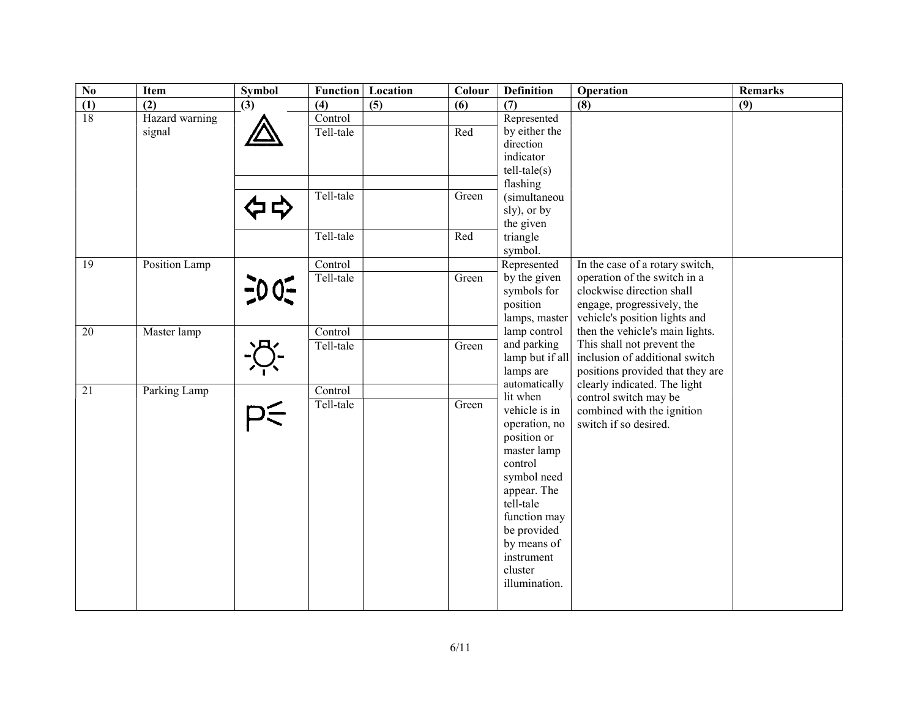| $\overline{N_0}$ | <b>Item</b>              | Symbol          | <b>Function</b>             | Location | Colour | <b>Definition</b>                                                                                                                                                                                          | Operation                                                                                                                        | <b>Remarks</b> |
|------------------|--------------------------|-----------------|-----------------------------|----------|--------|------------------------------------------------------------------------------------------------------------------------------------------------------------------------------------------------------------|----------------------------------------------------------------------------------------------------------------------------------|----------------|
| $\frac{(1)}{18}$ | (2)                      | (3)             | (4)                         | (5)      | (6)    | (7)                                                                                                                                                                                                        | (8)                                                                                                                              | (9)            |
|                  | Hazard warning<br>signal |                 | Control<br>Tell-tale        |          | Red    | Represented<br>by either the<br>direction<br>indicator<br>$tell-tale(s)$                                                                                                                                   |                                                                                                                                  |                |
|                  |                          |                 | Tell-tale                   |          | Green  | flashing<br>(simultaneou<br>sly), or by<br>the given                                                                                                                                                       |                                                                                                                                  |                |
|                  |                          |                 | Tell-tale                   |          | Red    | triangle<br>symbol.                                                                                                                                                                                        |                                                                                                                                  |                |
| $\overline{19}$  | Position Lamp            |                 | Control                     |          |        | Represented                                                                                                                                                                                                | In the case of a rotary switch,                                                                                                  |                |
|                  |                          | $\frac{1}{2}00$ | Tell-tale                   |          | Green  | by the given<br>symbols for<br>position<br>lamps, master                                                                                                                                                   | operation of the switch in a<br>clockwise direction shall<br>engage, progressively, the<br>vehicle's position lights and         |                |
| $\overline{20}$  | Master lamp              |                 | $\overline{\text{Control}}$ |          |        | lamp control                                                                                                                                                                                               | then the vehicle's main lights.                                                                                                  |                |
|                  |                          |                 | Tell-tale                   |          | Green  | and parking<br>lamp but if all<br>lamps are<br>automatically                                                                                                                                               | This shall not prevent the<br>inclusion of additional switch<br>positions provided that they are<br>clearly indicated. The light |                |
| $\overline{21}$  | Parking Lamp             |                 | Control                     |          |        | lit when                                                                                                                                                                                                   | control switch may be                                                                                                            |                |
|                  |                          | つく              | Tell-tale                   |          | Green  | vehicle is in<br>operation, no<br>position or<br>master lamp<br>control<br>symbol need<br>appear. The<br>tell-tale<br>function may<br>be provided<br>by means of<br>instrument<br>cluster<br>illumination. | combined with the ignition<br>switch if so desired.                                                                              |                |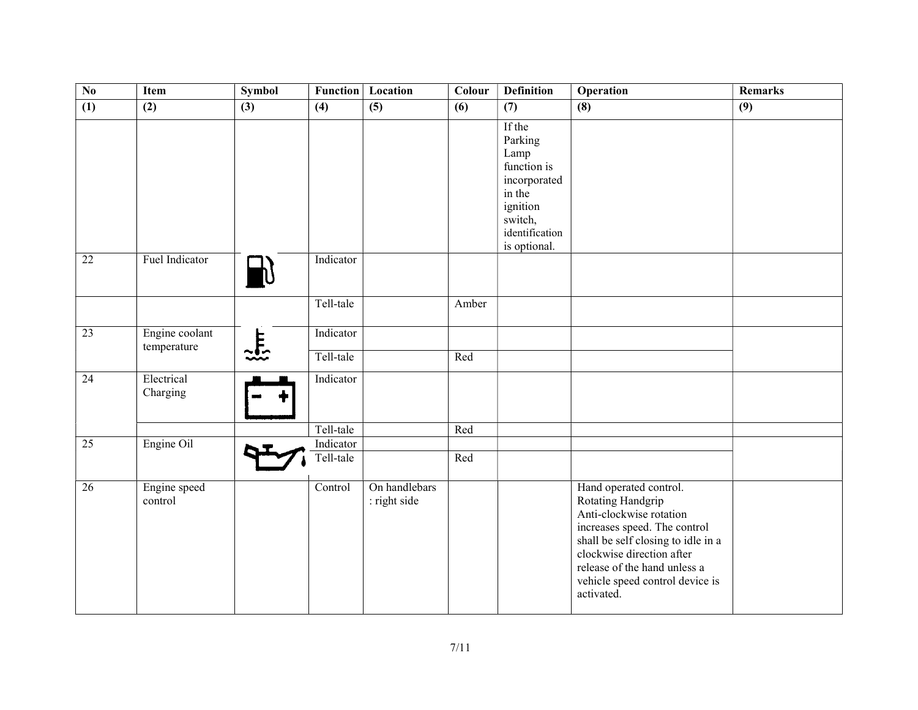| $\overline{\text{No}}$ | Item                          | <b>Symbol</b>         | <b>Function</b> | Location                      | Colour | <b>Definition</b>                                                                                                           | <b>Operation</b>                                                                                                                                                                                                                                           | <b>Remarks</b> |
|------------------------|-------------------------------|-----------------------|-----------------|-------------------------------|--------|-----------------------------------------------------------------------------------------------------------------------------|------------------------------------------------------------------------------------------------------------------------------------------------------------------------------------------------------------------------------------------------------------|----------------|
| (1)                    | (2)                           | (3)                   | (4)             | (5)                           | (6)    | (7)                                                                                                                         | (8)                                                                                                                                                                                                                                                        | (9)            |
|                        |                               |                       |                 |                               |        | If the<br>Parking<br>Lamp<br>function is<br>incorporated<br>in the<br>ignition<br>switch,<br>identification<br>is optional. |                                                                                                                                                                                                                                                            |                |
| $\overline{22}$        | Fuel Indicator                |                       | Indicator       |                               |        |                                                                                                                             |                                                                                                                                                                                                                                                            |                |
|                        |                               |                       | Tell-tale       |                               | Amber  |                                                                                                                             |                                                                                                                                                                                                                                                            |                |
| $\overline{23}$        | Engine coolant<br>temperature | $\frac{1}{2\sqrt{2}}$ | Indicator       |                               |        |                                                                                                                             |                                                                                                                                                                                                                                                            |                |
|                        |                               |                       | Tell-tale       |                               | Red    |                                                                                                                             |                                                                                                                                                                                                                                                            |                |
| 24                     | Electrical<br>Charging        |                       | Indicator       |                               |        |                                                                                                                             |                                                                                                                                                                                                                                                            |                |
|                        |                               |                       | Tell-tale       |                               | Red    |                                                                                                                             |                                                                                                                                                                                                                                                            |                |
| $\overline{25}$        | Engine Oil                    |                       | Indicator       |                               |        |                                                                                                                             |                                                                                                                                                                                                                                                            |                |
|                        |                               |                       | Tell-tale       |                               | Red    |                                                                                                                             |                                                                                                                                                                                                                                                            |                |
| 26                     | Engine speed<br>control       |                       | Control         | On handlebars<br>: right side |        |                                                                                                                             | Hand operated control.<br>Rotating Handgrip<br>Anti-clockwise rotation<br>increases speed. The control<br>shall be self closing to idle in a<br>clockwise direction after<br>release of the hand unless a<br>vehicle speed control device is<br>activated. |                |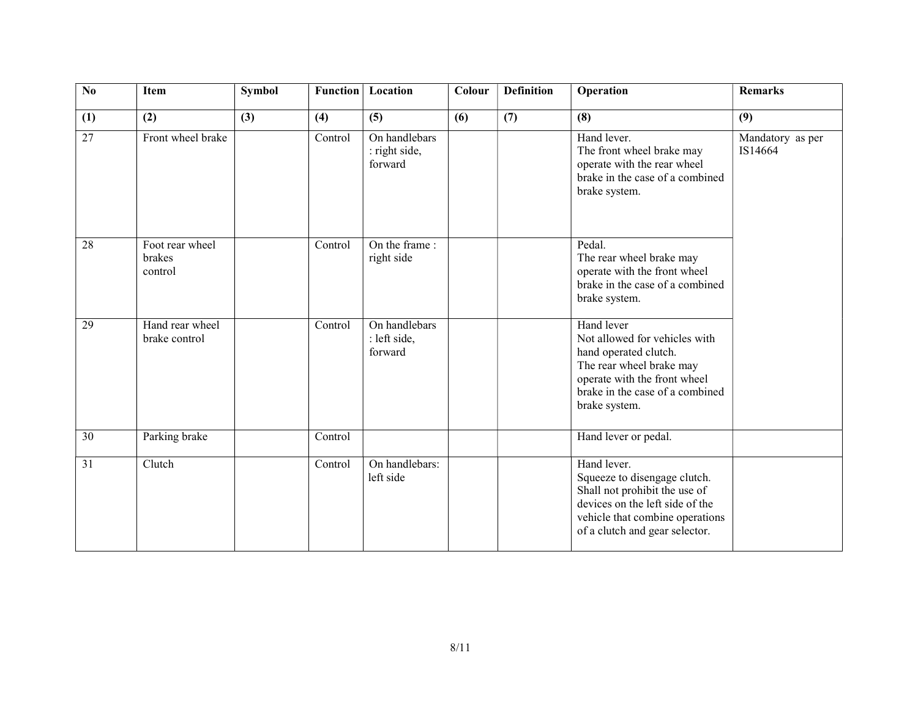| $\overline{No}$ | Item                                 | <b>Symbol</b> | <b>Function</b> | Location                                  | Colour | <b>Definition</b> | Operation                                                                                                                                                                            | <b>Remarks</b>              |
|-----------------|--------------------------------------|---------------|-----------------|-------------------------------------------|--------|-------------------|--------------------------------------------------------------------------------------------------------------------------------------------------------------------------------------|-----------------------------|
| (1)             | (2)                                  | (3)           | (4)             | (5)                                       | (6)    | (7)               | (8)                                                                                                                                                                                  | (9)                         |
| 27              | Front wheel brake                    |               | Control         | On handlebars<br>: right side,<br>forward |        |                   | Hand lever.<br>The front wheel brake may<br>operate with the rear wheel<br>brake in the case of a combined<br>brake system.                                                          | Mandatory as per<br>IS14664 |
| 28              | Foot rear wheel<br>brakes<br>control |               | Control         | On the frame:<br>right side               |        |                   | Pedal.<br>The rear wheel brake may<br>operate with the front wheel<br>brake in the case of a combined<br>brake system.                                                               |                             |
| 29              | Hand rear wheel<br>brake control     |               | Control         | On handlebars<br>: left side,<br>forward  |        |                   | Hand lever<br>Not allowed for vehicles with<br>hand operated clutch.<br>The rear wheel brake may<br>operate with the front wheel<br>brake in the case of a combined<br>brake system. |                             |
| $\overline{30}$ | Parking brake                        |               | Control         |                                           |        |                   | Hand lever or pedal.                                                                                                                                                                 |                             |
| $\overline{31}$ | Clutch                               |               | Control         | On handlebars:<br>left side               |        |                   | Hand lever.<br>Squeeze to disengage clutch.<br>Shall not prohibit the use of<br>devices on the left side of the<br>vehicle that combine operations<br>of a clutch and gear selector. |                             |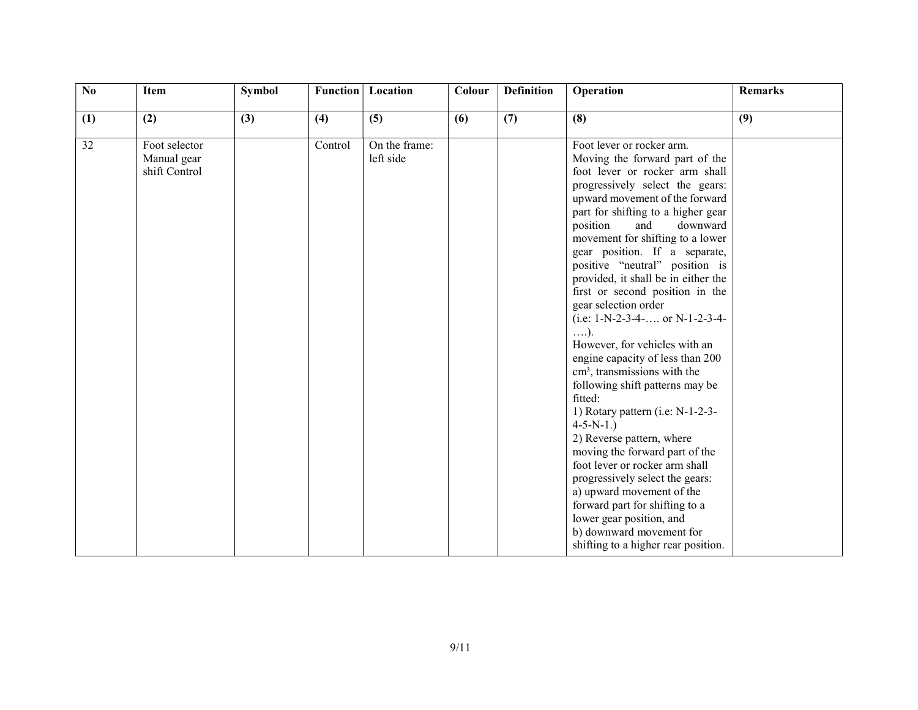| $\overline{No}$ | Item                                          | <b>Symbol</b> | Function | Location                   | Colour | <b>Definition</b> | Operation                                                                                                                                                                                                                                                                                                                                                                                                                                                                                                                                                                                                                                                                                                                                                                                                                                                                                                                                                                                                                | <b>Remarks</b> |
|-----------------|-----------------------------------------------|---------------|----------|----------------------------|--------|-------------------|--------------------------------------------------------------------------------------------------------------------------------------------------------------------------------------------------------------------------------------------------------------------------------------------------------------------------------------------------------------------------------------------------------------------------------------------------------------------------------------------------------------------------------------------------------------------------------------------------------------------------------------------------------------------------------------------------------------------------------------------------------------------------------------------------------------------------------------------------------------------------------------------------------------------------------------------------------------------------------------------------------------------------|----------------|
| (1)             | (2)                                           | (3)           | (4)      | (5)                        | (6)    | (7)               | (8)                                                                                                                                                                                                                                                                                                                                                                                                                                                                                                                                                                                                                                                                                                                                                                                                                                                                                                                                                                                                                      | (9)            |
| 32              | Foot selector<br>Manual gear<br>shift Control |               | Control  | On the frame:<br>left side |        |                   | Foot lever or rocker arm.<br>Moving the forward part of the<br>foot lever or rocker arm shall<br>progressively select the gears:<br>upward movement of the forward<br>part for shifting to a higher gear<br>position<br>downward<br>and<br>movement for shifting to a lower<br>gear position. If a separate,<br>positive "neutral" position is<br>provided, it shall be in either the<br>first or second position in the<br>gear selection order<br>(i.e: $1-N-2-3-4-$ or $N-1-2-3-4-$<br>$\ldots$ ).<br>However, for vehicles with an<br>engine capacity of less than 200<br>cm <sup>3</sup> , transmissions with the<br>following shift patterns may be<br>fitted:<br>1) Rotary pattern (i.e: N-1-2-3-<br>$4-5-N-1.$<br>2) Reverse pattern, where<br>moving the forward part of the<br>foot lever or rocker arm shall<br>progressively select the gears:<br>a) upward movement of the<br>forward part for shifting to a<br>lower gear position, and<br>b) downward movement for<br>shifting to a higher rear position. |                |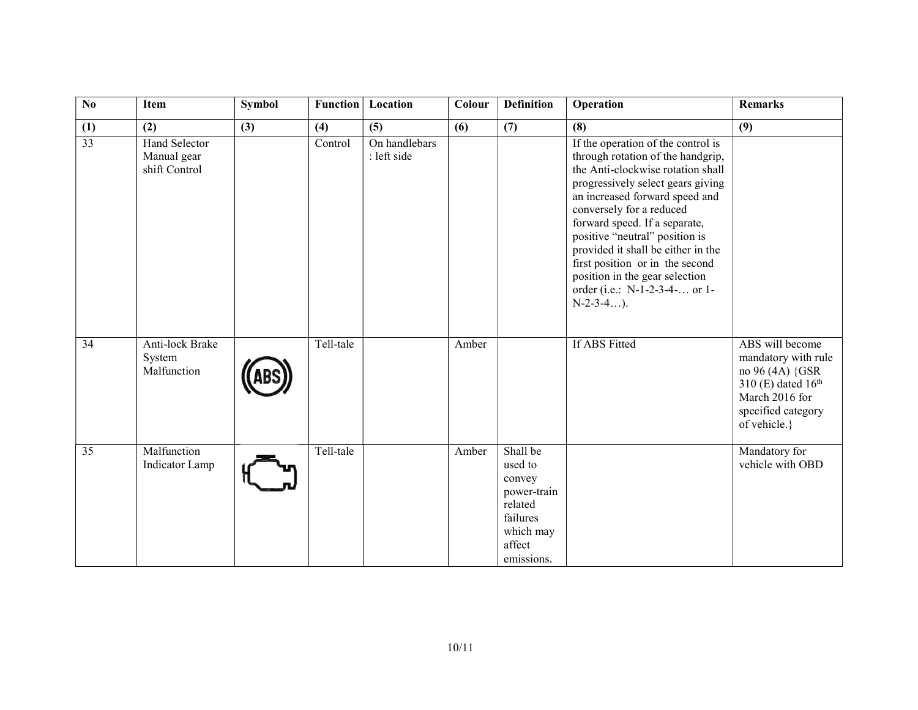| $\mathbf{N}\mathbf{0}$ | Item                                          | <b>Symbol</b> | <b>Function</b> | Location                     | Colour | <b>Definition</b>                                                                                        | Operation                                                                                                                                                                                                                                                                                                                                                                                                                                      | <b>Remarks</b>                                                                                                                                      |
|------------------------|-----------------------------------------------|---------------|-----------------|------------------------------|--------|----------------------------------------------------------------------------------------------------------|------------------------------------------------------------------------------------------------------------------------------------------------------------------------------------------------------------------------------------------------------------------------------------------------------------------------------------------------------------------------------------------------------------------------------------------------|-----------------------------------------------------------------------------------------------------------------------------------------------------|
| (1)                    | (2)                                           | (3)           | (4)             | (5)                          | (6)    | (7)                                                                                                      | (8)                                                                                                                                                                                                                                                                                                                                                                                                                                            | (9)                                                                                                                                                 |
| $\overline{33}$        | Hand Selector<br>Manual gear<br>shift Control |               | Control         | On handlebars<br>: left side |        |                                                                                                          | If the operation of the control is<br>through rotation of the handgrip,<br>the Anti-clockwise rotation shall<br>progressively select gears giving<br>an increased forward speed and<br>conversely for a reduced<br>forward speed. If a separate,<br>positive "neutral" position is<br>provided it shall be either in the<br>first position or in the second<br>position in the gear selection<br>order (i.e.: N-1-2-3-4- or 1-<br>$N-2-3-4$ ). |                                                                                                                                                     |
| 34                     | Anti-lock Brake<br>System<br>Malfunction      |               | Tell-tale       |                              | Amber  |                                                                                                          | If ABS Fitted                                                                                                                                                                                                                                                                                                                                                                                                                                  | ABS will become<br>mandatory with rule<br>no 96 (4A) {GSR<br>310 (E) dated 16 <sup>th</sup><br>March 2016 for<br>specified category<br>of vehicle.} |
| 35                     | Malfunction<br>Indicator Lamp                 |               | Tell-tale       |                              | Amber  | Shall be<br>used to<br>convey<br>power-train<br>related<br>failures<br>which may<br>affect<br>emissions. |                                                                                                                                                                                                                                                                                                                                                                                                                                                | Mandatory for<br>vehicle with OBD                                                                                                                   |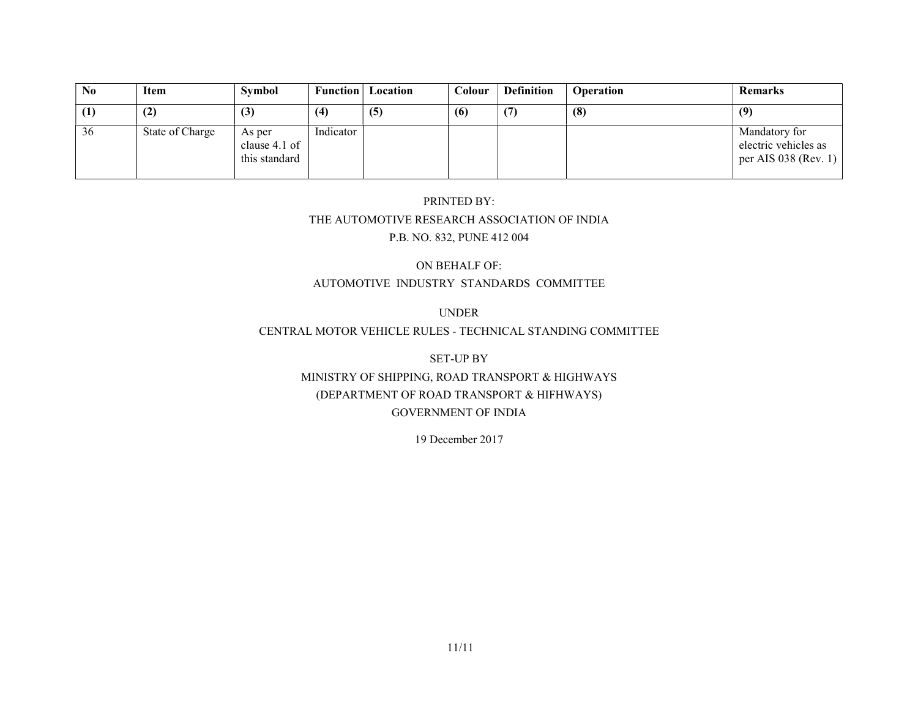| N <sub>0</sub> | Item            | Symbol                                   | <b>Function</b> | Location | Colour | <b>Definition</b> | <b>Operation</b> | <b>Remarks</b>                                                |
|----------------|-----------------|------------------------------------------|-----------------|----------|--------|-------------------|------------------|---------------------------------------------------------------|
| (1)            | (2)             | (3)                                      | (4)             | (5)      | (6)    | (7)               | (8)              | (9)                                                           |
| 36             | State of Charge | As per<br>clause 4.1 of<br>this standard | Indicator       |          |        |                   |                  | Mandatory for<br>electric vehicles as<br>per AIS 038 (Rev. 1) |

# PRINTED BY: THE AUTOMOTIVE RESEARCH ASSOCIATION OF INDIA P.B. NO. 832, PUNE 412 004

#### ON BEHALF OF: AUTOMOTIVE INDUSTRY STANDARDS COMMITTEE

#### UNDER

#### CENTRAL MOTOR VEHICLE RULES - TECHNICAL STANDING COMMITTEE

## SET-UP BY MINISTRY OF SHIPPING, ROAD TRANSPORT & HIGHWAYS (DEPARTMENT OF ROAD TRANSPORT & HIFHWAYS) GOVERNMENT OF INDIA

#### 19 December 2017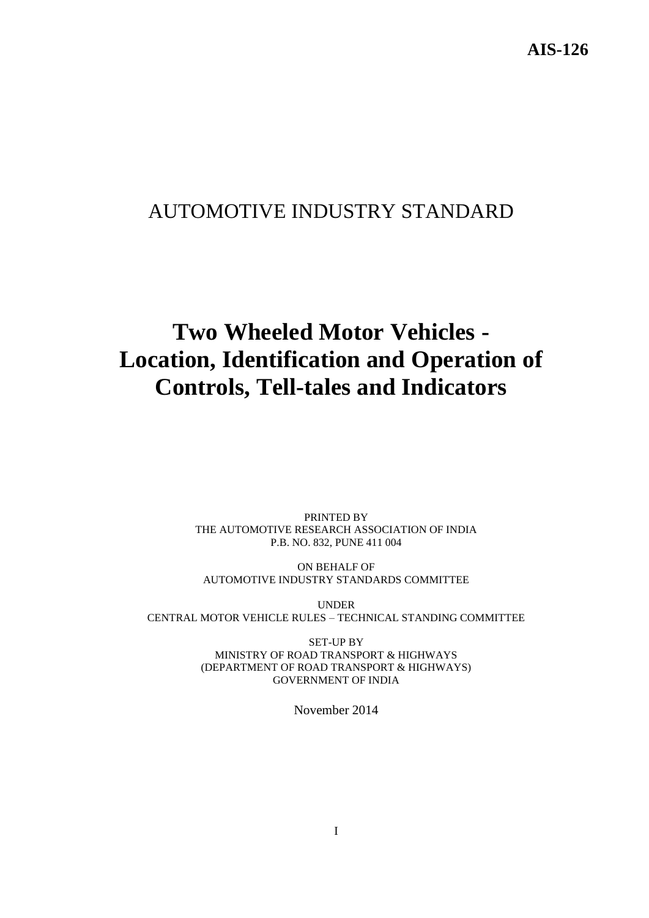# AUTOMOTIVE INDUSTRY STANDARD

# **Two Wheeled Motor Vehicles - Location, Identification and Operation of Controls, Tell-tales and Indicators**

PRINTED BY THE AUTOMOTIVE RESEARCH ASSOCIATION OF INDIA P.B. NO. 832, PUNE 411 004

ON BEHALF OF AUTOMOTIVE INDUSTRY STANDARDS COMMITTEE

UNDER CENTRAL MOTOR VEHICLE RULES – TECHNICAL STANDING COMMITTEE

> SET-UP BY MINISTRY OF ROAD TRANSPORT & HIGHWAYS (DEPARTMENT OF ROAD TRANSPORT & HIGHWAYS) GOVERNMENT OF INDIA

> > November 2014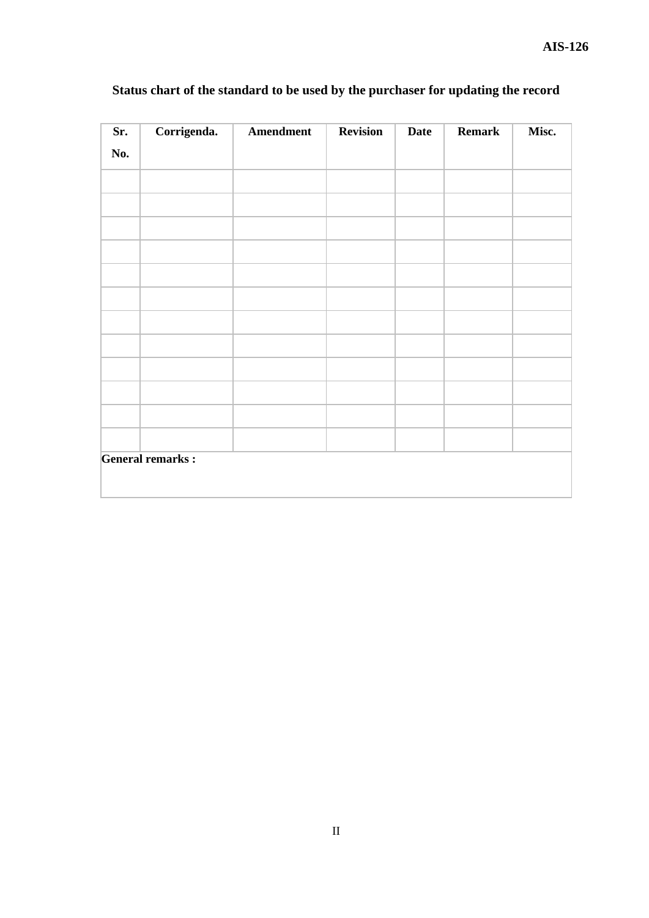| Sr. | Corrigenda.             | Amendment | <b>Revision</b> | <b>Date</b> | <b>Remark</b> | Misc. |
|-----|-------------------------|-----------|-----------------|-------------|---------------|-------|
| No. |                         |           |                 |             |               |       |
|     |                         |           |                 |             |               |       |
|     |                         |           |                 |             |               |       |
|     |                         |           |                 |             |               |       |
|     |                         |           |                 |             |               |       |
|     |                         |           |                 |             |               |       |
|     |                         |           |                 |             |               |       |
|     |                         |           |                 |             |               |       |
|     |                         |           |                 |             |               |       |
|     |                         |           |                 |             |               |       |
|     |                         |           |                 |             |               |       |
|     |                         |           |                 |             |               |       |
|     |                         |           |                 |             |               |       |
|     | <b>General remarks:</b> |           |                 |             |               |       |

# **Status chart of the standard to be used by the purchaser for updating the record**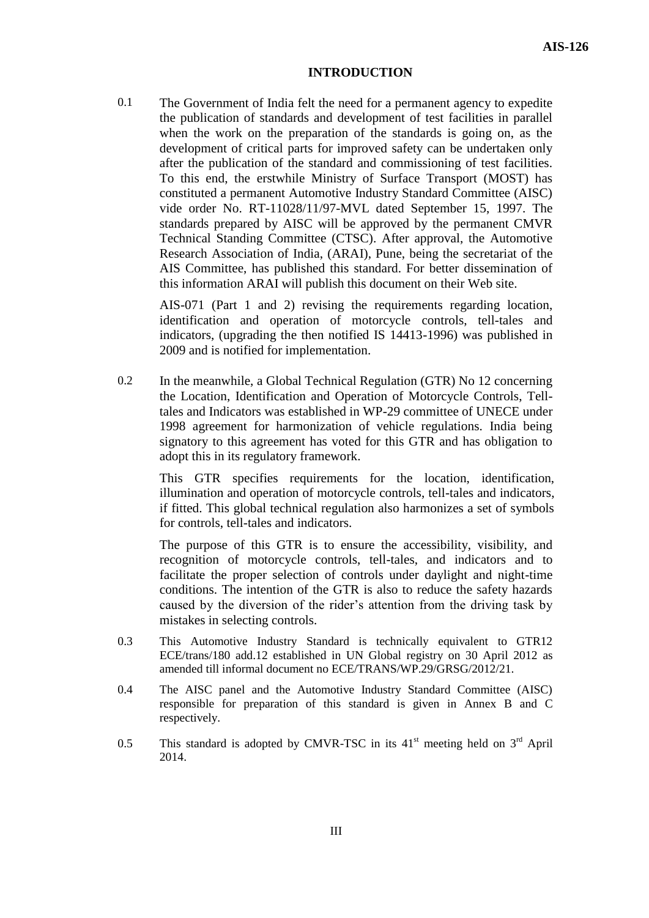#### **INTRODUCTION**

0.1 The Government of India felt the need for a permanent agency to expedite the publication of standards and development of test facilities in parallel when the work on the preparation of the standards is going on, as the development of critical parts for improved safety can be undertaken only after the publication of the standard and commissioning of test facilities. To this end, the erstwhile Ministry of Surface Transport (MOST) has constituted a permanent Automotive Industry Standard Committee (AISC) vide order No. RT-11028/11/97-MVL dated September 15, 1997. The standards prepared by AISC will be approved by the permanent CMVR Technical Standing Committee (CTSC). After approval, the Automotive Research Association of India, (ARAI), Pune, being the secretariat of the AIS Committee, has published this standard. For better dissemination of this information ARAI will publish this document on their Web site.

AIS-071 (Part 1 and 2) revising the requirements regarding location, identification and operation of motorcycle controls, tell-tales and indicators, (upgrading the then notified IS 14413-1996) was published in 2009 and is notified for implementation.

0.2 In the meanwhile, a Global Technical Regulation (GTR) No 12 concerning the Location, Identification and Operation of Motorcycle Controls, Telltales and Indicators was established in WP-29 committee of UNECE under 1998 agreement for harmonization of vehicle regulations. India being signatory to this agreement has voted for this GTR and has obligation to adopt this in its regulatory framework.

This GTR specifies requirements for the location, identification, illumination and operation of motorcycle controls, tell-tales and indicators, if fitted. This global technical regulation also harmonizes a set of symbols for controls, tell-tales and indicators.

The purpose of this GTR is to ensure the accessibility, visibility, and recognition of motorcycle controls, tell-tales, and indicators and to facilitate the proper selection of controls under daylight and night-time conditions. The intention of the GTR is also to reduce the safety hazards caused by the diversion of the rider's attention from the driving task by mistakes in selecting controls.

- 0.3 This Automotive Industry Standard is technically equivalent to GTR12 ECE/trans/180 add.12 established in UN Global registry on 30 April 2012 as amended till informal document no ECE/TRANS/WP.29/GRSG/2012/21.
- 0.4 The AISC panel and the Automotive Industry Standard Committee (AISC) responsible for preparation of this standard is given in Annex B and C respectively.
- 0.5 This standard is adopted by CMVR-TSC in its  $41<sup>st</sup>$  meeting held on  $3<sup>rd</sup>$  April 2014.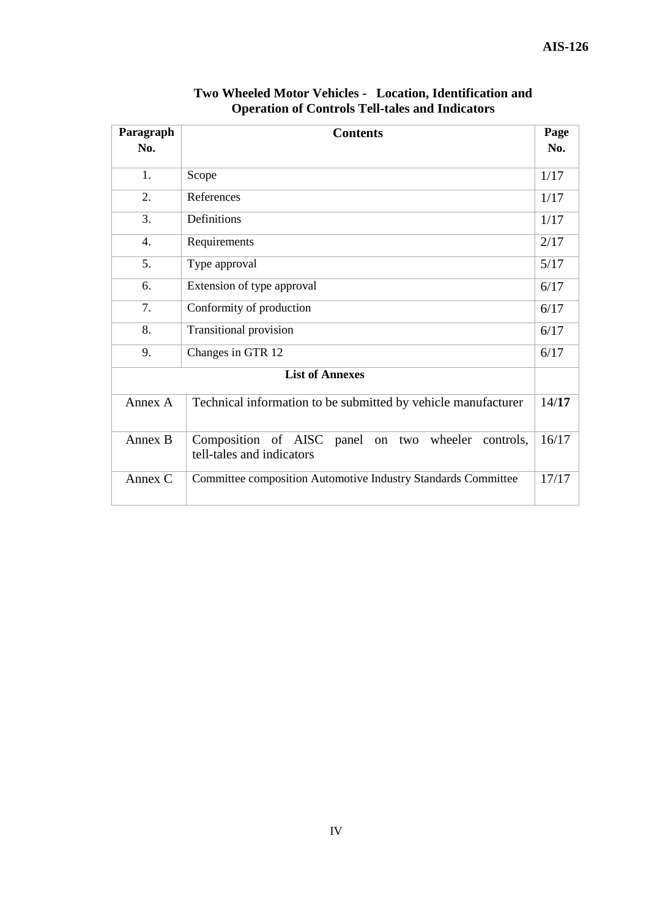| Paragraph              | <b>Contents</b>                                                                       |       |  |  |
|------------------------|---------------------------------------------------------------------------------------|-------|--|--|
| No.                    |                                                                                       | No.   |  |  |
| 1.                     | Scope                                                                                 | 1/17  |  |  |
| 2.                     | References                                                                            | 1/17  |  |  |
| 3.                     | Definitions                                                                           | 1/17  |  |  |
| $\overline{4}$ .       | Requirements                                                                          | 2/17  |  |  |
| 5.                     | 5/17<br>Type approval                                                                 |       |  |  |
| 6.                     | 6/17<br>Extension of type approval                                                    |       |  |  |
| 7.                     | Conformity of production<br>6/17                                                      |       |  |  |
| 8.                     | <b>Transitional provision</b><br>6/17                                                 |       |  |  |
| 9.                     | Changes in GTR 12<br>6/17                                                             |       |  |  |
| <b>List of Annexes</b> |                                                                                       |       |  |  |
| Annex A                | Technical information to be submitted by vehicle manufacturer                         | 14/17 |  |  |
| Annex B                | Composition of AISC<br>panel on two wheeler<br>controls,<br>tell-tales and indicators | 16/17 |  |  |
| Annex C                | Committee composition Automotive Industry Standards Committee                         | 17/17 |  |  |

**Two Wheeled Motor Vehicles - Location, Identification and Operation of Controls Tell-tales and Indicators**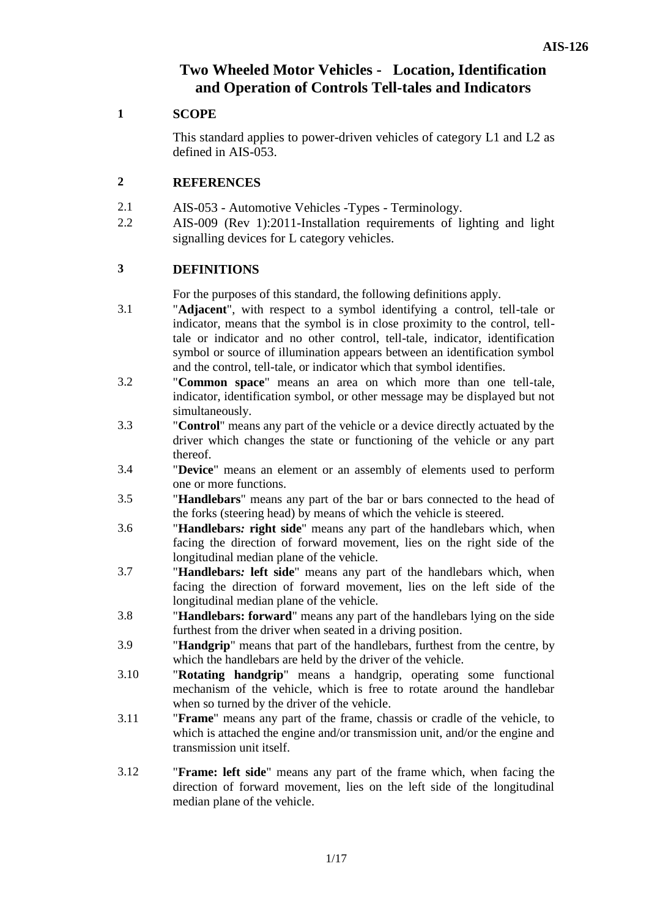# **Two Wheeled Motor Vehicles - Location, Identification and Operation of Controls Tell-tales and Indicators**

### **1 SCOPE**

This standard applies to power-driven vehicles of category L1 and L2 as defined in AIS-053.

#### **2 REFERENCES**

- 2.1 AIS-053 Automotive Vehicles -Types Terminology.
- 2.2 AIS-009 (Rev 1):2011-Installation requirements of lighting and light signalling devices for L category vehicles.

#### **3 DEFINITIONS**

For the purposes of this standard, the following definitions apply.

- 3.1 "**Adjacent**", with respect to a symbol identifying a control, tell-tale or indicator, means that the symbol is in close proximity to the control, telltale or indicator and no other control, tell-tale, indicator, identification symbol or source of illumination appears between an identification symbol and the control, tell-tale, or indicator which that symbol identifies.
- 3.2 "**Common space**" means an area on which more than one tell-tale, indicator, identification symbol, or other message may be displayed but not simultaneously.
- 3.3 "**Control**" means any part of the vehicle or a device directly actuated by the driver which changes the state or functioning of the vehicle or any part thereof.
- 3.4 "**Device**" means an element or an assembly of elements used to perform one or more functions.
- 3.5 "**Handlebars**" means any part of the bar or bars connected to the head of the forks (steering head) by means of which the vehicle is steered.
- 3.6 "**Handlebars***:* **right side**" means any part of the handlebars which, when facing the direction of forward movement, lies on the right side of the longitudinal median plane of the vehicle.
- 3.7 "**Handlebars***:* **left side**" means any part of the handlebars which, when facing the direction of forward movement, lies on the left side of the longitudinal median plane of the vehicle.
- 3.8 "**Handlebars: forward**" means any part of the handlebars lying on the side furthest from the driver when seated in a driving position.
- 3.9 "**Handgrip**" means that part of the handlebars, furthest from the centre, by which the handlebars are held by the driver of the vehicle.
- 3.10 "**Rotating handgrip**" means a handgrip, operating some functional mechanism of the vehicle, which is free to rotate around the handlebar when so turned by the driver of the vehicle.
- 3.11 "**Frame**" means any part of the frame, chassis or cradle of the vehicle, to which is attached the engine and/or transmission unit, and/or the engine and transmission unit itself.
- 3.12 "**Frame: left side**" means any part of the frame which, when facing the direction of forward movement, lies on the left side of the longitudinal median plane of the vehicle.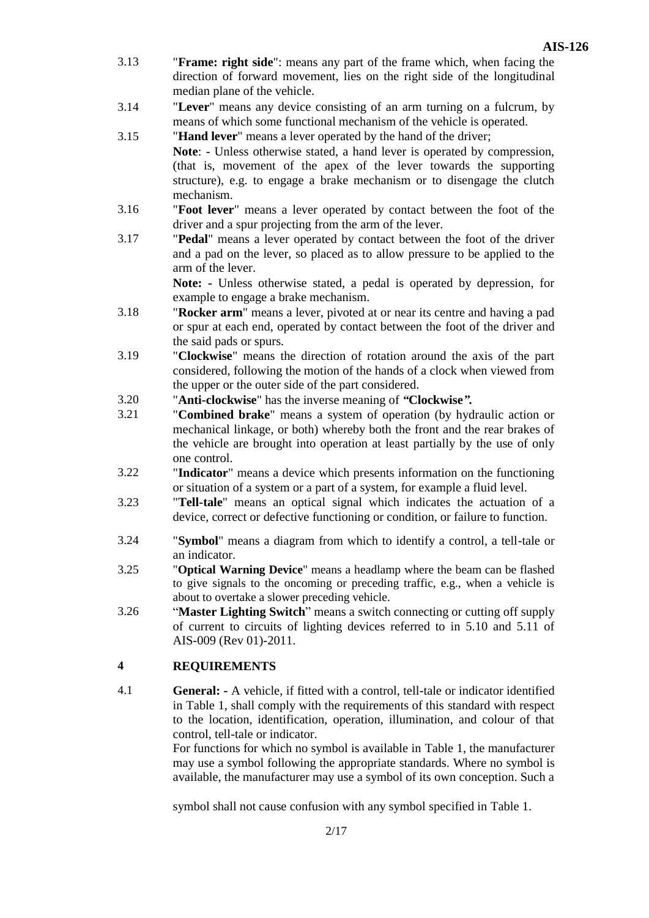- 3.13 "**Frame: right side**": means any part of the frame which, when facing the direction of forward movement, lies on the right side of the longitudinal median plane of the vehicle.
- 3.14 "**Lever**" means any device consisting of an arm turning on a fulcrum, by means of which some functional mechanism of the vehicle is operated.
- 3.15 "**Hand lever**" means a lever operated by the hand of the driver; **Note**: - Unless otherwise stated, a hand lever is operated by compression, (that is, movement of the apex of the lever towards the supporting structure), e.g. to engage a brake mechanism or to disengage the clutch mechanism.
- 3.16 "**Foot lever**" means a lever operated by contact between the foot of the driver and a spur projecting from the arm of the lever.
- 3.17 "**Pedal**" means a lever operated by contact between the foot of the driver and a pad on the lever, so placed as to allow pressure to be applied to the arm of the lever.

**Note: -** Unless otherwise stated, a pedal is operated by depression, for example to engage a brake mechanism.

- 3.18 "**Rocker arm**" means a lever, pivoted at or near its centre and having a pad or spur at each end, operated by contact between the foot of the driver and the said pads or spurs.
- 3.19 "**Clockwise**" means the direction of rotation around the axis of the part considered, following the motion of the hands of a clock when viewed from the upper or the outer side of the part considered.
- 3.20 "**Anti-clockwise**" has the inverse meaning of *"***Clockwise***".*
- 3.21 "**Combined brake**" means a system of operation (by hydraulic action or mechanical linkage, or both) whereby both the front and the rear brakes of the vehicle are brought into operation at least partially by the use of only one control.
- 3.22 "**Indicator**" means a device which presents information on the functioning or situation of a system or a part of a system, for example a fluid level.
- 3.23 "**Tell-tale**" means an optical signal which indicates the actuation of a device, correct or defective functioning or condition, or failure to function.
- 3.24 "**Symbol**" means a diagram from which to identify a control, a tell-tale or an indicator.
- 3.25 "**Optical Warning Device**" means a headlamp where the beam can be flashed to give signals to the oncoming or preceding traffic, e.g., when a vehicle is about to overtake a slower preceding vehicle.
- 3.26 "**Master Lighting Switch**" means a switch connecting or cutting off supply of current to circuits of lighting devices referred to in 5.10 and 5.11 of AIS-009 (Rev 01)-2011.

#### **4 REQUIREMENTS**

4.1 **General: -** A vehicle, if fitted with a control, tell-tale or indicator identified in Table 1, shall comply with the requirements of this standard with respect to the location, identification, operation, illumination, and colour of that control, tell-tale or indicator.

> For functions for which no symbol is available in Table 1, the manufacturer may use a symbol following the appropriate standards. Where no symbol is available, the manufacturer may use a symbol of its own conception. Such a

symbol shall not cause confusion with any symbol specified in Table 1.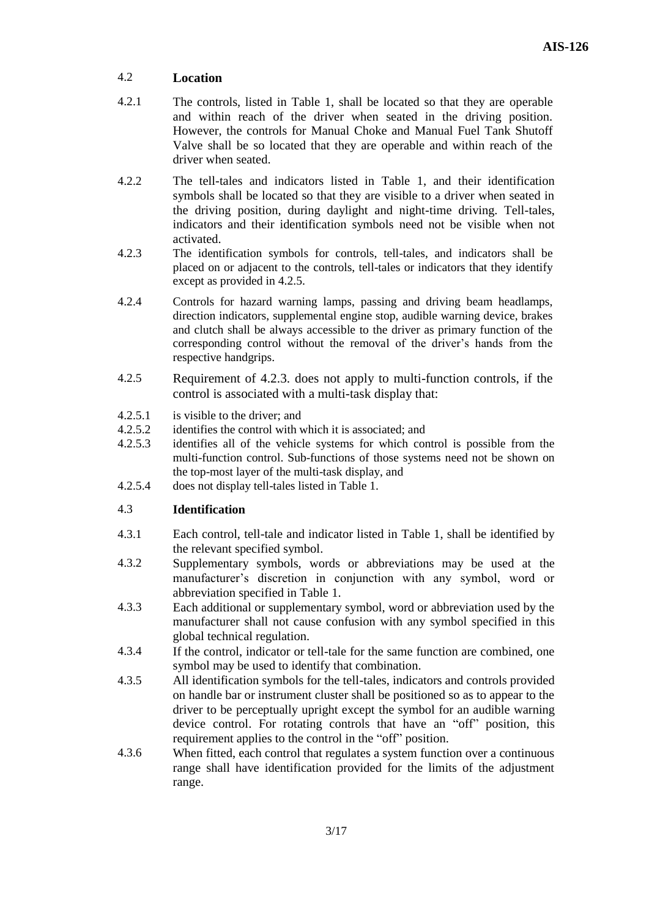#### 4.2 **Location**

- 4.2.1 The controls, listed in Table 1, shall be located so that they are operable and within reach of the driver when seated in the driving position. However, the controls for Manual Choke and Manual Fuel Tank Shutoff Valve shall be so located that they are operable and within reach of the driver when seated.
- 4.2.2 The tell-tales and indicators listed in Table 1, and their identification symbols shall be located so that they are visible to a driver when seated in the driving position, during daylight and night-time driving. Tell-tales, indicators and their identification symbols need not be visible when not activated.
- 4.2.3 The identification symbols for controls, tell-tales, and indicators shall be placed on or adjacent to the controls, tell-tales or indicators that they identify except as provided in 4.2.5.
- 4.2.4 Controls for hazard warning lamps, passing and driving beam headlamps, direction indicators, supplemental engine stop, audible warning device, brakes and clutch shall be always accessible to the driver as primary function of the corresponding control without the removal of the driver's hands from the respective handgrips.
- 4.2.5 Requirement of 4.2.3. does not apply to multi-function controls, if the control is associated with a multi-task display that:
- 4.2.5.1 is visible to the driver; and
- 4.2.5.2 identifies the control with which it is associated; and
- 4.2.5.3 identifies all of the vehicle systems for which control is possible from the multi-function control. Sub-functions of those systems need not be shown on the top-most layer of the multi-task display, and
- 4.2.5.4 does not display tell-tales listed in Table 1.

#### 4.3 **Identification**

- 4.3.1 Each control, tell-tale and indicator listed in Table 1, shall be identified by the relevant specified symbol.
- 4.3.2 Supplementary symbols, words or abbreviations may be used at the manufacturer's discretion in conjunction with any symbol, word or abbreviation specified in Table 1.
- 4.3.3 Each additional or supplementary symbol, word or abbreviation used by the manufacturer shall not cause confusion with any symbol specified in this global technical regulation.
- 4.3.4 If the control, indicator or tell-tale for the same function are combined, one symbol may be used to identify that combination.
- 4.3.5 All identification symbols for the tell-tales, indicators and controls provided on handle bar or instrument cluster shall be positioned so as to appear to the driver to be perceptually upright except the symbol for an audible warning device control. For rotating controls that have an "off" position, this requirement applies to the control in the "off" position.
- 4.3.6 When fitted, each control that regulates a system function over a continuous range shall have identification provided for the limits of the adjustment range.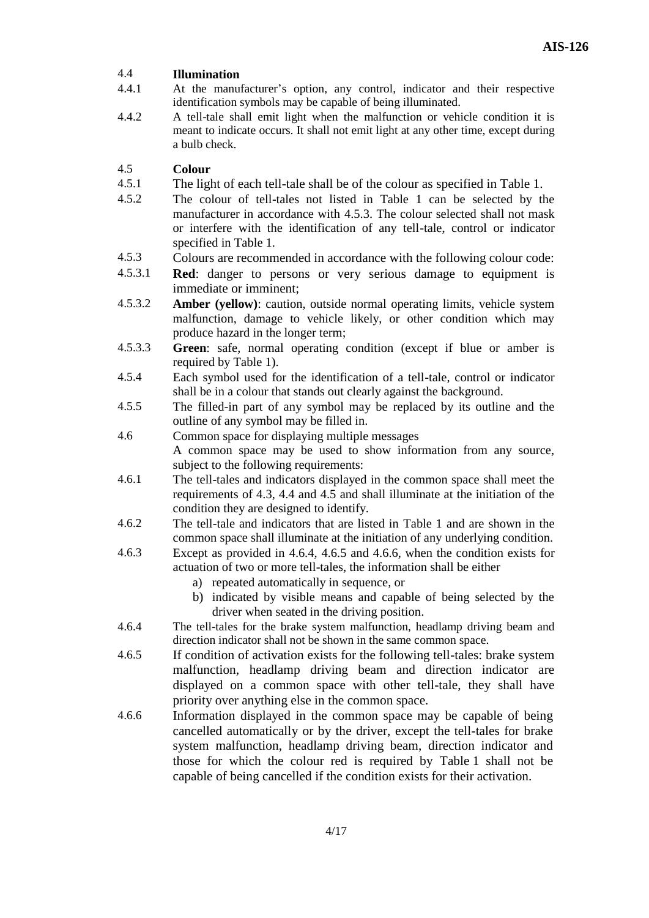#### 4.4 **Illumination**

- 4.4.1 At the manufacturer's option, any control, indicator and their respective identification symbols may be capable of being illuminated.
- 4.4.2 A tell-tale shall emit light when the malfunction or vehicle condition it is meant to indicate occurs. It shall not emit light at any other time, except during a bulb check.

#### 4.5 **Colour**

- 4.5.1 The light of each tell-tale shall be of the colour as specified in Table 1.
- 4.5.2 The colour of tell-tales not listed in Table 1 can be selected by the manufacturer in accordance with 4.5.3. The colour selected shall not mask or interfere with the identification of any tell-tale, control or indicator specified in Table 1.
- 4.5.3 Colours are recommended in accordance with the following colour code:
- 4.5.3.1 **Red**: danger to persons or very serious damage to equipment is immediate or imminent;
- 4.5.3.2 **Amber (yellow)**: caution, outside normal operating limits, vehicle system malfunction, damage to vehicle likely, or other condition which may produce hazard in the longer term;
- 4.5.3.3 **Green**: safe, normal operating condition (except if blue or amber is required by Table 1).
- 4.5.4 Each symbol used for the identification of a tell-tale, control or indicator shall be in a colour that stands out clearly against the background.
- 4.5.5 The filled-in part of any symbol may be replaced by its outline and the outline of any symbol may be filled in.
- 4.6 Common space for displaying multiple messages A common space may be used to show information from any source, subject to the following requirements:
- 4.6.1 The tell-tales and indicators displayed in the common space shall meet the requirements of 4.3, 4.4 and 4.5 and shall illuminate at the initiation of the condition they are designed to identify.
- 4.6.2 The tell-tale and indicators that are listed in Table 1 and are shown in the common space shall illuminate at the initiation of any underlying condition.
- 4.6.3 Except as provided in 4.6.4, 4.6.5 and 4.6.6, when the condition exists for actuation of two or more tell-tales, the information shall be either
	- a) repeated automatically in sequence, or
	- b) indicated by visible means and capable of being selected by the driver when seated in the driving position.
- 4.6.4 The tell-tales for the brake system malfunction, headlamp driving beam and direction indicator shall not be shown in the same common space.
- 4.6.5 If condition of activation exists for the following tell-tales: brake system malfunction, headlamp driving beam and direction indicator are displayed on a common space with other tell-tale, they shall have priority over anything else in the common space.
- 4.6.6 Information displayed in the common space may be capable of being cancelled automatically or by the driver, except the tell-tales for brake system malfunction, headlamp driving beam, direction indicator and those for which the colour red is required by Table 1 shall not be capable of being cancelled if the condition exists for their activation.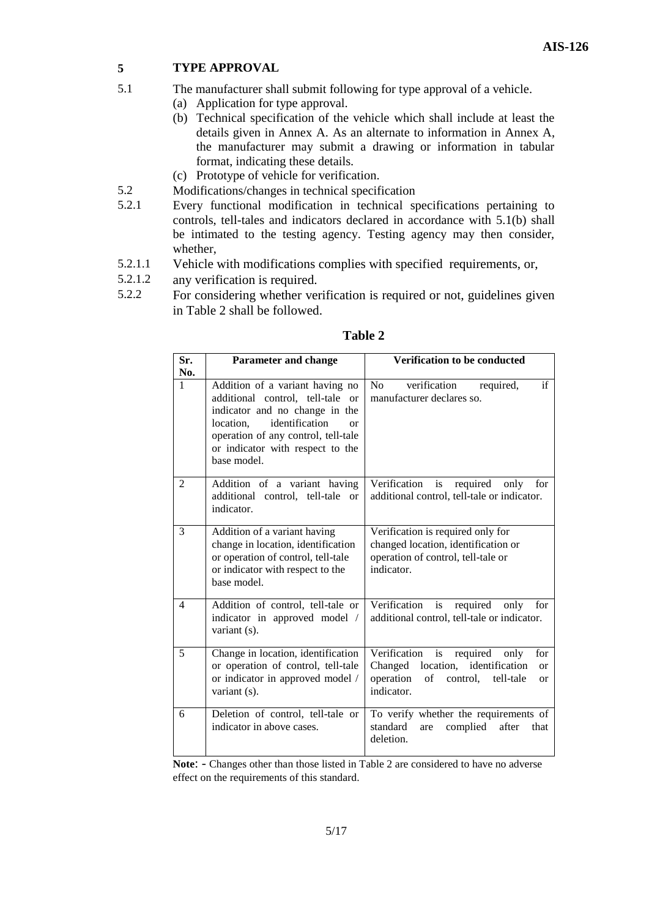#### **5 TYPE APPROVAL**

- 5.1 The manufacturer shall submit following for type approval of a vehicle.
	- (a) Application for type approval.
	- (b) Technical specification of the vehicle which shall include at least the details given in Annex A. As an alternate to information in Annex A, the manufacturer may submit a drawing or information in tabular format, indicating these details.
	- (c) Prototype of vehicle for verification.
- 5.2 Modifications/changes in technical specification
- 5.2.1 Every functional modification in technical specifications pertaining to controls, tell-tales and indicators declared in accordance with 5.1(b) shall be intimated to the testing agency. Testing agency may then consider, whether,
- 5.2.1.1 Vehicle with modifications complies with specified requirements, or,
- 5.2.1.2 any verification is required.
- 5.2.2 For considering whether verification is required or not, guidelines given in Table 2 shall be followed.

| Sr.<br>No.     | <b>Parameter and change</b>                                                                                                                                                                                                                                | Verification to be conducted                                                                                                                                                    |
|----------------|------------------------------------------------------------------------------------------------------------------------------------------------------------------------------------------------------------------------------------------------------------|---------------------------------------------------------------------------------------------------------------------------------------------------------------------------------|
| 1              | Addition of a variant having no<br>additional control, tell-tale<br><b>or</b><br>indicator and no change in the<br>identification<br>location.<br><sub>O</sub> r<br>operation of any control, tell-tale<br>or indicator with respect to the<br>base model. | if<br>N <sub>o</sub><br>verification<br>required,<br>manufacturer declares so.                                                                                                  |
| 2              | Addition of a variant having<br>additional control, tell-tale<br><b>or</b><br>indicator.                                                                                                                                                                   | Verification<br>required<br>is<br>only<br>for<br>additional control, tell-tale or indicator.                                                                                    |
| 3              | Addition of a variant having<br>change in location, identification<br>or operation of control, tell-tale<br>or indicator with respect to the<br>base model.                                                                                                | Verification is required only for<br>changed location, identification or<br>operation of control, tell-tale or<br>indicator.                                                    |
| $\overline{4}$ | Addition of control, tell-tale or<br>indicator in approved model /<br>variant (s).                                                                                                                                                                         | is<br>Verification<br>required<br>only<br>for<br>additional control, tell-tale or indicator.                                                                                    |
| 5              | Change in location, identification<br>or operation of control, tell-tale<br>or indicator in approved model /<br>variant (s).                                                                                                                               | is<br>Verification<br>required<br>for<br>only<br>Changed<br>location,<br>identification<br><b>or</b><br>operation<br>of<br>control,<br>tell-tale<br><sub>or</sub><br>indicator. |
| 6              | Deletion of control, tell-tale or<br>indicator in above cases.                                                                                                                                                                                             | To verify whether the requirements of<br>complied<br>standard<br>after<br>are<br>that<br>deletion.                                                                              |

**Table 2**

**Note**: - Changes other than those listed in Table 2 are considered to have no adverse effect on the requirements of this standard.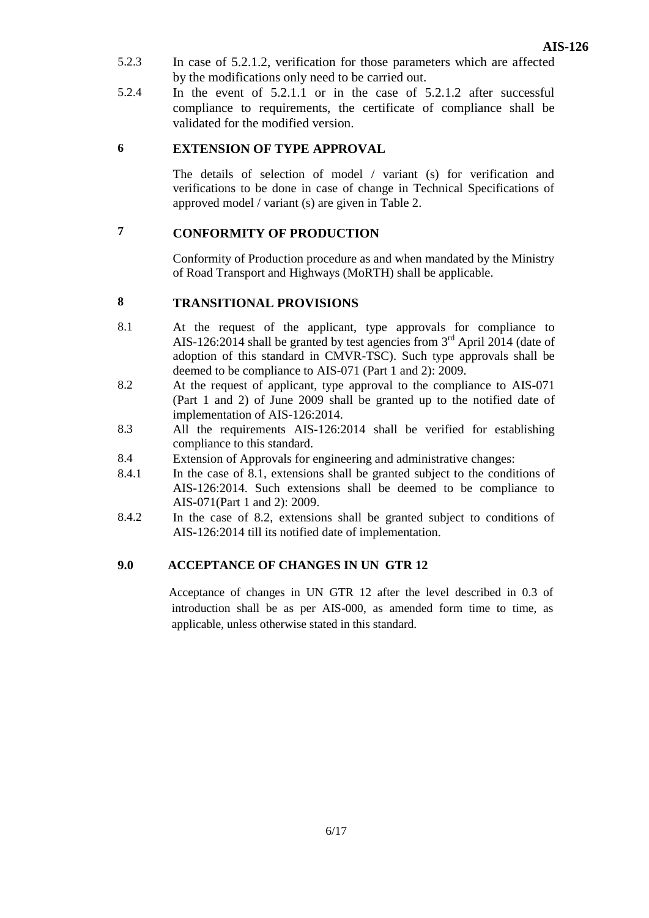- 5.2.3 In case of 5.2.1.2, verification for those parameters which are affected by the modifications only need to be carried out.
- 5.2.4 In the event of 5.2.1.1 or in the case of 5.2.1.2 after successful compliance to requirements, the certificate of compliance shall be validated for the modified version.

#### **6 EXTENSION OF TYPE APPROVAL**

The details of selection of model / variant (s) for verification and verifications to be done in case of change in Technical Specifications of approved model / variant (s) are given in Table 2.

## **7 CONFORMITY OF PRODUCTION**

Conformity of Production procedure as and when mandated by the Ministry of Road Transport and Highways (MoRTH) shall be applicable.

### **8 TRANSITIONAL PROVISIONS**

- 8.1 At the request of the applicant, type approvals for compliance to AIS-126:2014 shall be granted by test agencies from  $3<sup>rd</sup>$  April 2014 (date of adoption of this standard in CMVR-TSC). Such type approvals shall be deemed to be compliance to AIS-071 (Part 1 and 2): 2009.
- 8.2 At the request of applicant, type approval to the compliance to AIS-071 (Part 1 and 2) of June 2009 shall be granted up to the notified date of implementation of AIS-126:2014.
- 8.3 All the requirements AIS-126:2014 shall be verified for establishing compliance to this standard.
- 8.4 Extension of Approvals for engineering and administrative changes:
- 8.4.1 In the case of 8.1, extensions shall be granted subject to the conditions of AIS-126:2014. Such extensions shall be deemed to be compliance to AIS-071(Part 1 and 2): 2009.
- 8.4.2 In the case of 8.2, extensions shall be granted subject to conditions of AIS-126:2014 till its notified date of implementation.

#### **9.0 ACCEPTANCE OF CHANGES IN UN GTR 12**

 Acceptance of changes in UN GTR 12 after the level described in 0.3 of introduction shall be as per AIS-000, as amended form time to time, as applicable, unless otherwise stated in this standard.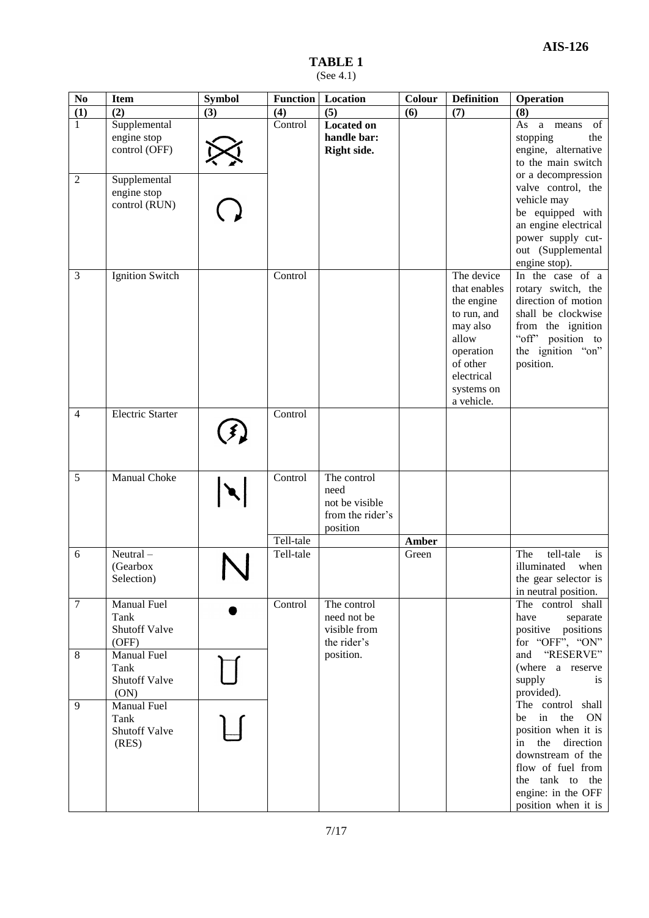#### **TABLE 1** (See 4.1)

| $\mathbf{N}\mathbf{0}$ | <b>Item</b>                                   | <b>Symbol</b> |           | <b>Function</b>   Location                                            | Colour       | <b>Definition</b>                                                                                                                               | Operation                                                                                                                                                                                        |
|------------------------|-----------------------------------------------|---------------|-----------|-----------------------------------------------------------------------|--------------|-------------------------------------------------------------------------------------------------------------------------------------------------|--------------------------------------------------------------------------------------------------------------------------------------------------------------------------------------------------|
| (1)                    | (2)                                           | (3)           | (4)       | (5)                                                                   | (6)          | (7)                                                                                                                                             | (8)                                                                                                                                                                                              |
| $\mathbf{1}$           | Supplemental<br>engine stop<br>control (OFF)  |               | Control   | <b>Located on</b><br>handle bar:<br>Right side.                       |              |                                                                                                                                                 | a means<br>As<br>of<br>stopping<br>the<br>engine, alternative<br>to the main switch                                                                                                              |
| $\overline{2}$         | Supplemental<br>engine stop<br>control (RUN)  |               |           |                                                                       |              |                                                                                                                                                 | or a decompression<br>valve control, the<br>vehicle may<br>be equipped with<br>an engine electrical<br>power supply cut-<br>out (Supplemental<br>engine stop).                                   |
| 3                      | Ignition Switch                               |               | Control   |                                                                       |              | The device<br>that enables<br>the engine<br>to run, and<br>may also<br>allow<br>operation<br>of other<br>electrical<br>systems on<br>a vehicle. | In the case of a<br>rotary switch, the<br>direction of motion<br>shall be clockwise<br>from the ignition<br>"off" position to<br>the ignition "on"<br>position.                                  |
| $\overline{4}$         | <b>Electric Starter</b>                       |               | Control   |                                                                       |              |                                                                                                                                                 |                                                                                                                                                                                                  |
| 5                      | <b>Manual Choke</b>                           |               | Control   | The control<br>need<br>not be visible<br>from the rider's<br>position |              |                                                                                                                                                 |                                                                                                                                                                                                  |
|                        |                                               |               | Tell-tale |                                                                       | <b>Amber</b> |                                                                                                                                                 |                                                                                                                                                                                                  |
| 6                      | Neutral-<br>(Gearbox<br>Selection)            |               | Tell-tale |                                                                       | Green        |                                                                                                                                                 | tell-tale<br>The<br>is<br>illuminated<br>when<br>the gear selector is<br>in neutral position.                                                                                                    |
| $\overline{7}$         | Manual Fuel<br>Tank<br>Shutoff Valve<br>(OFF) |               | Control   | The control<br>need not be<br>visible from<br>the rider's             |              |                                                                                                                                                 | The control shall<br>have<br>separate<br>positive positions<br>for "OFF", "ON"                                                                                                                   |
| $\,8\,$                | Manual Fuel<br>Tank<br>Shutoff Valve<br>(ON)  |               |           | position.                                                             |              |                                                                                                                                                 | and "RESERVE"<br>(where a reserve<br>supply<br>is<br>provided).                                                                                                                                  |
| 9                      | Manual Fuel<br>Tank<br>Shutoff Valve<br>(RES) |               |           |                                                                       |              |                                                                                                                                                 | The control shall<br>be in the<br><b>ON</b><br>position when it is<br>in the direction<br>downstream of the<br>flow of fuel from<br>the tank to the<br>engine: in the OFF<br>position when it is |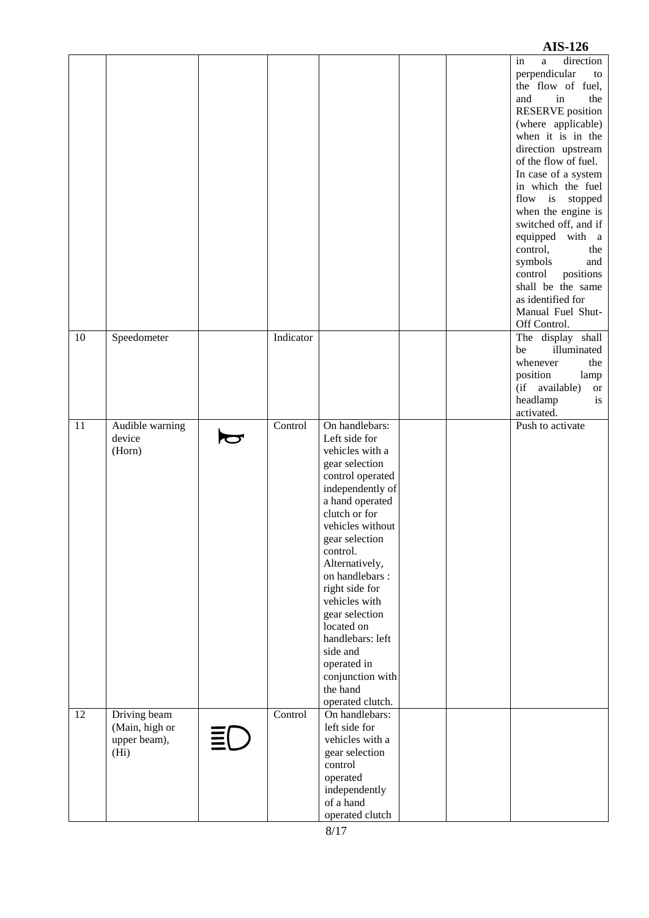|    |                                                                     |    |           |                                                                                                                                                                                                                                                                                                                                                                                             |  | $1110 - 120$                                                                                                                                                                                                                                                                                                                                                                                                                                                                         |
|----|---------------------------------------------------------------------|----|-----------|---------------------------------------------------------------------------------------------------------------------------------------------------------------------------------------------------------------------------------------------------------------------------------------------------------------------------------------------------------------------------------------------|--|--------------------------------------------------------------------------------------------------------------------------------------------------------------------------------------------------------------------------------------------------------------------------------------------------------------------------------------------------------------------------------------------------------------------------------------------------------------------------------------|
|    |                                                                     |    |           |                                                                                                                                                                                                                                                                                                                                                                                             |  | in<br>a<br>direction<br>perpendicular<br>to<br>the flow of fuel,<br>and<br>in<br>the<br><b>RESERVE</b> position<br>(where applicable)<br>when it is in the<br>direction upstream<br>of the flow of fuel.<br>In case of a system<br>in which the fuel<br>flow is stopped<br>when the engine is<br>switched off, and if<br>equipped with a<br>control,<br>the<br>symbols<br>and<br>control<br>positions<br>shall be the same<br>as identified for<br>Manual Fuel Shut-<br>Off Control. |
| 10 | Speedometer                                                         |    | Indicator |                                                                                                                                                                                                                                                                                                                                                                                             |  | The display shall<br>illuminated<br>be<br>whenever<br>the                                                                                                                                                                                                                                                                                                                                                                                                                            |
|    |                                                                     |    |           |                                                                                                                                                                                                                                                                                                                                                                                             |  | position<br>lamp<br>(if available)<br><b>or</b><br>headlamp<br>is                                                                                                                                                                                                                                                                                                                                                                                                                    |
| 11 |                                                                     |    | Control   | On handlebars:                                                                                                                                                                                                                                                                                                                                                                              |  | activated.<br>Push to activate                                                                                                                                                                                                                                                                                                                                                                                                                                                       |
|    | Audible warning<br>device<br>(Horn)                                 |    |           | Left side for<br>vehicles with a<br>gear selection<br>control operated<br>independently of<br>a hand operated<br>clutch or for<br>vehicles without<br>gear selection<br>control.<br>Alternatively,<br>on handlebars :<br>right side for<br>vehicles with<br>gear selection<br>located on<br>handlebars: left<br>side and<br>operated in<br>conjunction with<br>the hand<br>operated clutch. |  |                                                                                                                                                                                                                                                                                                                                                                                                                                                                                      |
| 12 | Driving beam<br>(Main, high or<br>upper beam),<br>(H <sub>i</sub> ) | ΞL | Control   | On handlebars:<br>left side for<br>vehicles with a<br>gear selection<br>control<br>operated<br>independently<br>of a hand<br>operated clutch                                                                                                                                                                                                                                                |  |                                                                                                                                                                                                                                                                                                                                                                                                                                                                                      |

# **AIS -126**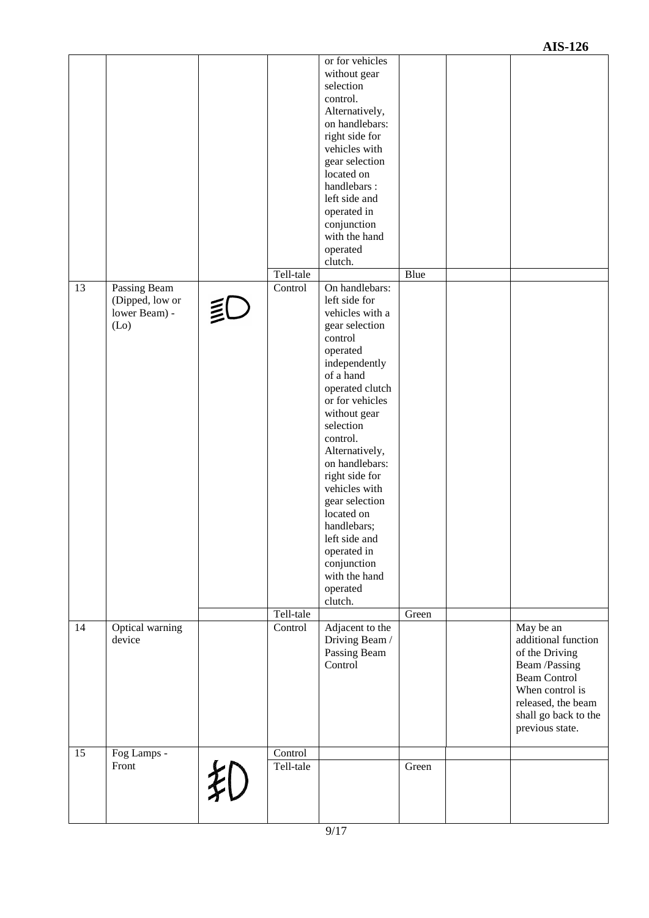|    |                                                                       |   |           | or for vehicles<br>without gear<br>selection<br>control.<br>Alternatively,<br>on handlebars:<br>right side for<br>vehicles with<br>gear selection<br>located on<br>handlebars:<br>left side and<br>operated in<br>conjunction<br>with the hand<br>operated<br>clutch.                                                                                                                                                 |       |                                                                                                                                                                                |
|----|-----------------------------------------------------------------------|---|-----------|-----------------------------------------------------------------------------------------------------------------------------------------------------------------------------------------------------------------------------------------------------------------------------------------------------------------------------------------------------------------------------------------------------------------------|-------|--------------------------------------------------------------------------------------------------------------------------------------------------------------------------------|
|    |                                                                       |   | Tell-tale |                                                                                                                                                                                                                                                                                                                                                                                                                       | Blue  |                                                                                                                                                                                |
| 13 | Passing Beam<br>(Dipped, low or<br>lower Beam) -<br>(L <sub>0</sub> ) | ₿ | Control   | On handlebars:<br>left side for<br>vehicles with a<br>gear selection<br>control<br>operated<br>independently<br>of a hand<br>operated clutch<br>or for vehicles<br>without gear<br>selection<br>control.<br>Alternatively,<br>on handlebars:<br>right side for<br>vehicles with<br>gear selection<br>located on<br>handlebars;<br>left side and<br>operated in<br>conjunction<br>with the hand<br>operated<br>clutch. |       |                                                                                                                                                                                |
|    |                                                                       |   | Tell-tale |                                                                                                                                                                                                                                                                                                                                                                                                                       | Green |                                                                                                                                                                                |
| 14 | Optical warning<br>device                                             |   | Control   | Adjacent to the<br>Driving Beam /<br>Passing Beam<br>Control                                                                                                                                                                                                                                                                                                                                                          |       | May be an<br>additional function<br>of the Driving<br>Beam /Passing<br><b>Beam Control</b><br>When control is<br>released, the beam<br>shall go back to the<br>previous state. |
| 15 | Fog Lamps -                                                           |   | Control   |                                                                                                                                                                                                                                                                                                                                                                                                                       |       |                                                                                                                                                                                |
|    | Front                                                                 | 刹 | Tell-tale |                                                                                                                                                                                                                                                                                                                                                                                                                       | Green |                                                                                                                                                                                |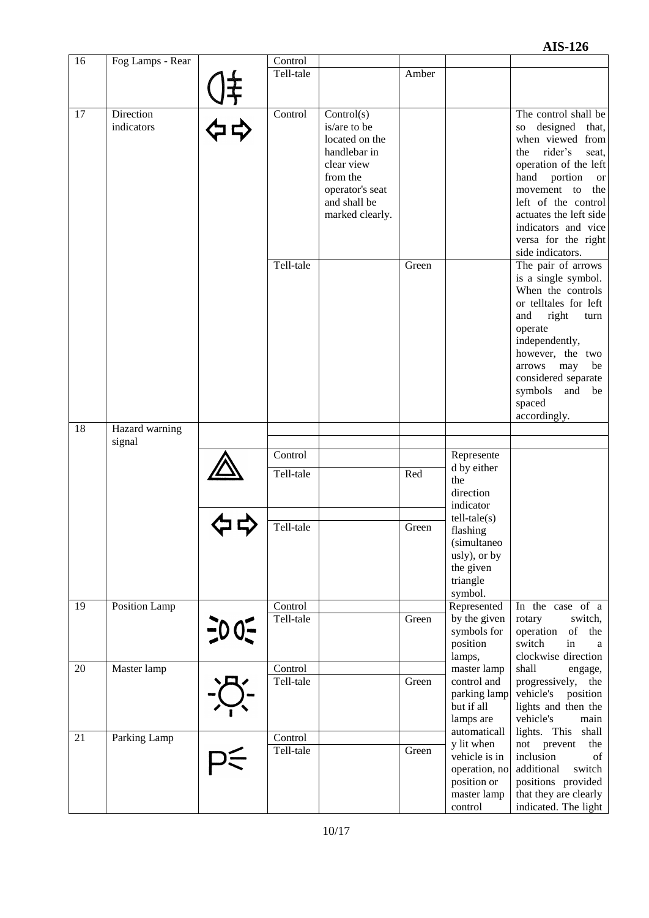| 16 | Fog Lamps - Rear |         | Control   |                 |       |                           |                                  |
|----|------------------|---------|-----------|-----------------|-------|---------------------------|----------------------------------|
|    |                  |         | Tell-tale |                 | Amber |                           |                                  |
|    |                  |         |           |                 |       |                           |                                  |
|    |                  |         |           |                 |       |                           |                                  |
| 17 | Direction        |         | Control   | Control(s)      |       |                           | The control shall be             |
|    | indicators       |         |           | is/are to be    |       |                           | designed<br>that,<br>SO.         |
|    |                  |         |           | located on the  |       |                           | when viewed from                 |
|    |                  |         |           | handlebar in    |       |                           | rider's<br>the<br>seat,          |
|    |                  |         |           | clear view      |       |                           | operation of the left            |
|    |                  |         |           | from the        |       |                           | hand<br>portion                  |
|    |                  |         |           | operator's seat |       |                           | or<br>movement<br>to<br>the      |
|    |                  |         |           | and shall be    |       |                           | left of the control              |
|    |                  |         |           | marked clearly. |       |                           | actuates the left side           |
|    |                  |         |           |                 |       |                           | indicators and vice              |
|    |                  |         |           |                 |       |                           | versa for the right              |
|    |                  |         |           |                 |       |                           | side indicators.                 |
|    |                  |         | Tell-tale |                 | Green |                           | The pair of arrows               |
|    |                  |         |           |                 |       |                           | is a single symbol.              |
|    |                  |         |           |                 |       |                           | When the controls                |
|    |                  |         |           |                 |       |                           | or telltales for left            |
|    |                  |         |           |                 |       |                           | and<br>right<br>turn             |
|    |                  |         |           |                 |       |                           | operate                          |
|    |                  |         |           |                 |       |                           | independently,                   |
|    |                  |         |           |                 |       |                           | however, the two                 |
|    |                  |         |           |                 |       |                           | arrows<br>may<br>be              |
|    |                  |         |           |                 |       |                           | considered separate              |
|    |                  |         |           |                 |       |                           | symbols and<br>be                |
|    |                  |         |           |                 |       |                           | spaced                           |
|    |                  |         |           |                 |       |                           | accordingly.                     |
| 18 | Hazard warning   |         |           |                 |       |                           |                                  |
|    | signal           |         |           |                 |       |                           |                                  |
|    |                  |         | Control   |                 |       | Represente                |                                  |
|    |                  |         | Tell-tale |                 | Red   | d by either               |                                  |
|    |                  |         |           |                 |       | the                       |                                  |
|    |                  |         |           |                 |       | direction                 |                                  |
|    |                  |         |           |                 |       | indicator                 |                                  |
|    |                  |         | Tell-tale |                 | Green | $tell-tale(s)$            |                                  |
|    |                  |         |           |                 |       | flashing<br>(simultaneo   |                                  |
|    |                  |         |           |                 |       | usly), or by              |                                  |
|    |                  |         |           |                 |       | the given                 |                                  |
|    |                  |         |           |                 |       | triangle                  |                                  |
|    |                  |         |           |                 |       | symbol.                   |                                  |
| 19 | Position Lamp    |         | Control   |                 |       | Represented               | In the case of a                 |
|    |                  |         | Tell-tale |                 | Green | by the given              | switch,<br>rotary                |
|    |                  | $-00 -$ |           |                 |       | symbols for               | operation<br>of the              |
|    |                  |         |           |                 |       | position                  | switch<br>in<br>a                |
|    |                  |         |           |                 |       | lamps,                    | clockwise direction              |
| 20 | Master lamp      |         | Control   |                 |       | master lamp               | shall<br>engage,                 |
|    |                  |         | Tell-tale |                 | Green | control and               | progressively,<br>the            |
|    |                  |         |           |                 |       | parking lamp              | vehicle's<br>position            |
|    |                  |         |           |                 |       | but if all                | lights and then the<br>vehicle's |
|    |                  |         |           |                 |       | lamps are<br>automaticall | main<br>lights. This<br>shall    |
| 21 | Parking Lamp     |         | Control   |                 |       | y lit when                | not<br>prevent<br>the            |
|    |                  |         | Tell-tale |                 | Green | vehicle is in             | inclusion<br>of                  |
|    |                  |         |           |                 |       | operation, no             | additional<br>switch             |
|    |                  |         |           |                 |       | position or               | positions provided               |
|    |                  |         |           |                 |       | master lamp               | that they are clearly            |
|    |                  |         |           |                 |       | control                   | indicated. The light             |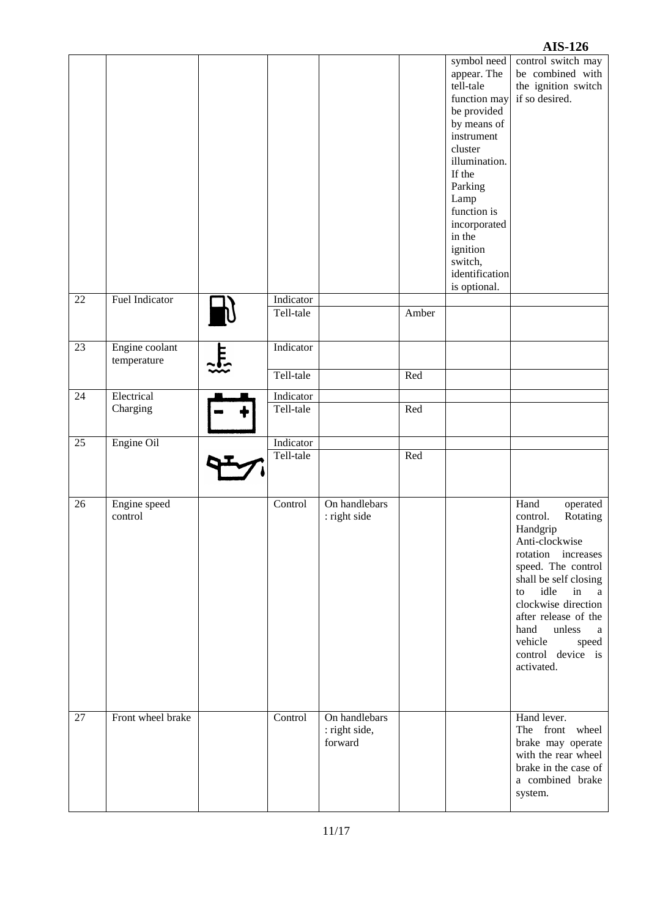#### **AIS-126** symbol need control switch may appear. The be combined with tell-tale the ignition switch function may if so desired. be provided by means of instrument cluster illumination. If the Parking Lamp function is incorporated in the ignition switch, identification is optional. 22 Fuel Indicator **Indicator** Indicator Tell-tale Amber 23 Engine coolant Indicator <u>는</u> temperature Tell-tale Red 24 Electrical Indicator Charging Tell-tale Red 25 Engine Oil Indicator Tell-tale Red 26 Engine speed Control On handlebars Hand operated control : right side control. Rotating Handgrip Anti-clockwise rotation increases speed. The control shall be self closing to idle in a clockwise direction after release of the hand unless a vehicle speed control device is activated. 27 Front wheel brake Control On handlebars Hand lever. : right side, The front wheel forward brake may operate with the rear wheel brake in the case of a combined brake system.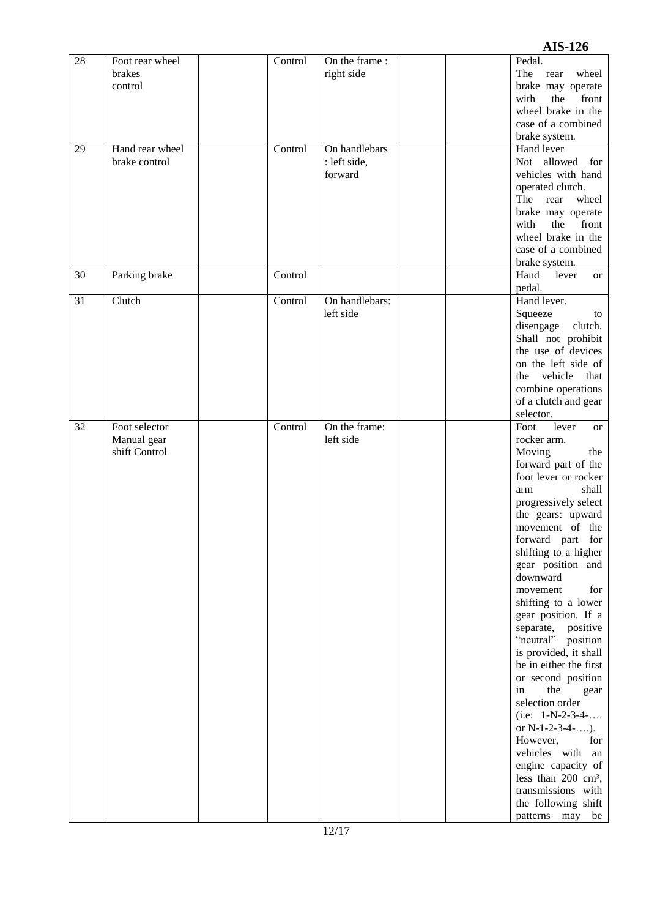#### **AIS -126**

| $\overline{28}$ | Foot rear wheel | Control | On the frame:  |  | Pedal.                          |
|-----------------|-----------------|---------|----------------|--|---------------------------------|
|                 | brakes          |         | right side     |  | The<br>rear<br>wheel            |
|                 | control         |         |                |  | brake may operate               |
|                 |                 |         |                |  |                                 |
|                 |                 |         |                |  | with<br>front<br>the            |
|                 |                 |         |                |  | wheel brake in the              |
|                 |                 |         |                |  | case of a combined              |
|                 |                 |         |                |  |                                 |
|                 |                 |         |                |  | brake system.                   |
| 29              | Hand rear wheel | Control | On handlebars  |  | Hand lever                      |
|                 | brake control   |         | : left side,   |  | Not allowed for                 |
|                 |                 |         |                |  |                                 |
|                 |                 |         | forward        |  | vehicles with hand              |
|                 |                 |         |                |  | operated clutch.                |
|                 |                 |         |                |  | The rear<br>wheel               |
|                 |                 |         |                |  |                                 |
|                 |                 |         |                |  | brake may operate               |
|                 |                 |         |                |  | with<br>the<br>front            |
|                 |                 |         |                |  | wheel brake in the              |
|                 |                 |         |                |  |                                 |
|                 |                 |         |                |  | case of a combined              |
|                 |                 |         |                |  | brake system.                   |
|                 |                 |         |                |  |                                 |
| 30              | Parking brake   | Control |                |  | Hand<br>lever<br>or             |
|                 |                 |         |                |  | pedal.                          |
| 31              | Clutch          | Control | On handlebars: |  | Hand lever.                     |
|                 |                 |         |                |  |                                 |
|                 |                 |         | left side      |  | Squeeze<br>to                   |
|                 |                 |         |                |  | disengage clutch.               |
|                 |                 |         |                |  | Shall not prohibit              |
|                 |                 |         |                |  |                                 |
|                 |                 |         |                |  | the use of devices              |
|                 |                 |         |                |  | on the left side of             |
|                 |                 |         |                |  |                                 |
|                 |                 |         |                |  | the vehicle that                |
|                 |                 |         |                |  | combine operations              |
|                 |                 |         |                |  | of a clutch and gear            |
|                 |                 |         |                |  |                                 |
|                 |                 |         |                |  | selector.                       |
| $\overline{32}$ | Foot selector   | Control | On the frame:  |  | Foot<br>lever<br><sub>or</sub>  |
|                 | Manual gear     |         | left side      |  | rocker arm.                     |
|                 |                 |         |                |  |                                 |
|                 | shift Control   |         |                |  | Moving<br>the                   |
|                 |                 |         |                |  | forward part of the             |
|                 |                 |         |                |  | foot lever or rocker            |
|                 |                 |         |                |  |                                 |
|                 |                 |         |                |  | shall<br>arm                    |
|                 |                 |         |                |  | progressively select            |
|                 |                 |         |                |  |                                 |
|                 |                 |         |                |  | the gears: upward               |
|                 |                 |         |                |  | movement of the                 |
|                 |                 |         |                |  | forward part for                |
|                 |                 |         |                |  |                                 |
|                 |                 |         |                |  | shifting to a higher            |
|                 |                 |         |                |  | gear position and               |
|                 |                 |         |                |  | downward                        |
|                 |                 |         |                |  |                                 |
|                 |                 |         |                |  | movement<br>for                 |
|                 |                 |         |                |  | shifting to a lower             |
|                 |                 |         |                |  | gear position. If a             |
|                 |                 |         |                |  |                                 |
|                 |                 |         |                |  | separate, positive              |
|                 |                 |         |                |  | "neutral" position              |
|                 |                 |         |                |  | is provided, it shall           |
|                 |                 |         |                |  |                                 |
|                 |                 |         |                |  | be in either the first          |
|                 |                 |         |                |  | or second position              |
|                 |                 |         |                |  | in<br>the                       |
|                 |                 |         |                |  | gear                            |
|                 |                 |         |                |  | selection order                 |
|                 |                 |         |                |  | $(i.e: 1-N-2-3-4-$              |
|                 |                 |         |                |  | or $N-1-2-3-4-$ ).              |
|                 |                 |         |                |  |                                 |
|                 |                 |         |                |  | However,<br>for                 |
|                 |                 |         |                |  | vehicles with an                |
|                 |                 |         |                |  |                                 |
|                 |                 |         |                |  | engine capacity of              |
|                 |                 |         |                |  | less than 200 cm <sup>3</sup> , |
|                 |                 |         |                |  | transmissions with              |
|                 |                 |         |                |  |                                 |
|                 |                 |         |                |  | the following shift             |
|                 |                 |         |                |  | patterns may be                 |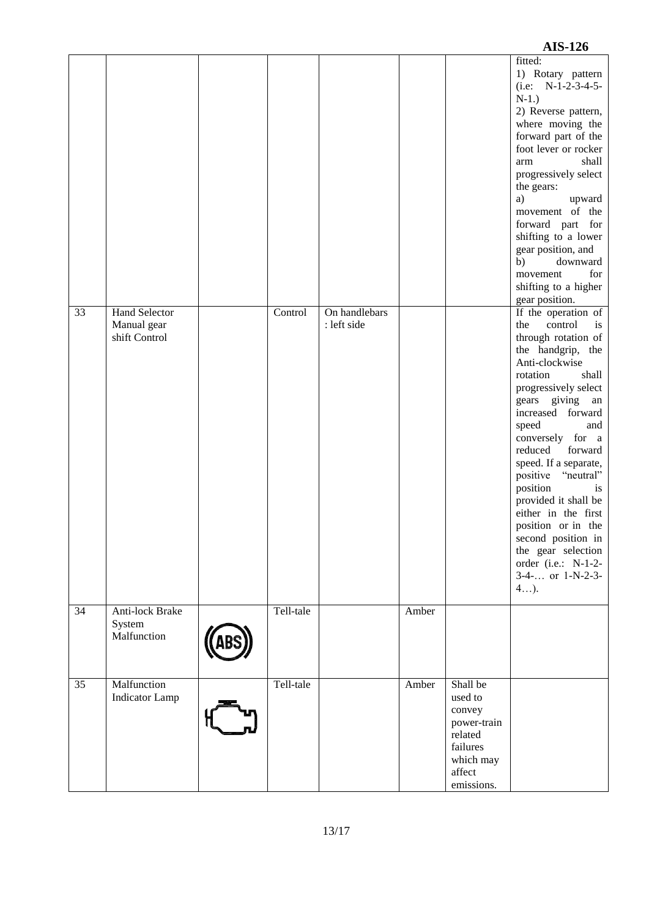|    |                                                      |           |                              |       |                                                                                                          | <b>AIS-126</b>                                                                                                                                                                                                                                                                                                                                                                                                                                                            |
|----|------------------------------------------------------|-----------|------------------------------|-------|----------------------------------------------------------------------------------------------------------|---------------------------------------------------------------------------------------------------------------------------------------------------------------------------------------------------------------------------------------------------------------------------------------------------------------------------------------------------------------------------------------------------------------------------------------------------------------------------|
| 33 | <b>Hand Selector</b><br>Manual gear<br>shift Control | Control   | On handlebars<br>: left side |       |                                                                                                          | fitted:<br>1) Rotary pattern<br>$(i.e: N-1-2-3-4-5-$<br>$N-1.$ )<br>2) Reverse pattern,<br>where moving the<br>forward part of the<br>foot lever or rocker<br>shall<br>arm<br>progressively select<br>the gears:<br>a)<br>upward<br>movement of the<br>forward part for<br>shifting to a lower<br>gear position, and<br>b)<br>downward<br>for<br>movement<br>shifting to a higher<br>gear position.<br>If the operation of<br>the<br>control<br>is<br>through rotation of |
|    |                                                      |           |                              |       |                                                                                                          | the handgrip, the<br>Anti-clockwise<br>rotation<br>shall<br>progressively select<br>gears giving an<br>increased forward<br>speed<br>and<br>conversely for a<br>reduced<br>forward<br>speed. If a separate,<br>positive "neutral"<br>position<br>is<br>provided it shall be<br>either in the first<br>position or in the<br>second position in<br>the gear selection<br>order (i.e.: N-1-2-<br>$3-4-$ or $1-N-2-3-$<br>$4$ ).                                             |
| 34 | Anti-lock Brake<br>System<br>Malfunction             | Tell-tale |                              | Amber |                                                                                                          |                                                                                                                                                                                                                                                                                                                                                                                                                                                                           |
| 35 | Malfunction<br><b>Indicator Lamp</b>                 | Tell-tale |                              | Amber | Shall be<br>used to<br>convey<br>power-train<br>related<br>failures<br>which may<br>affect<br>emissions. |                                                                                                                                                                                                                                                                                                                                                                                                                                                                           |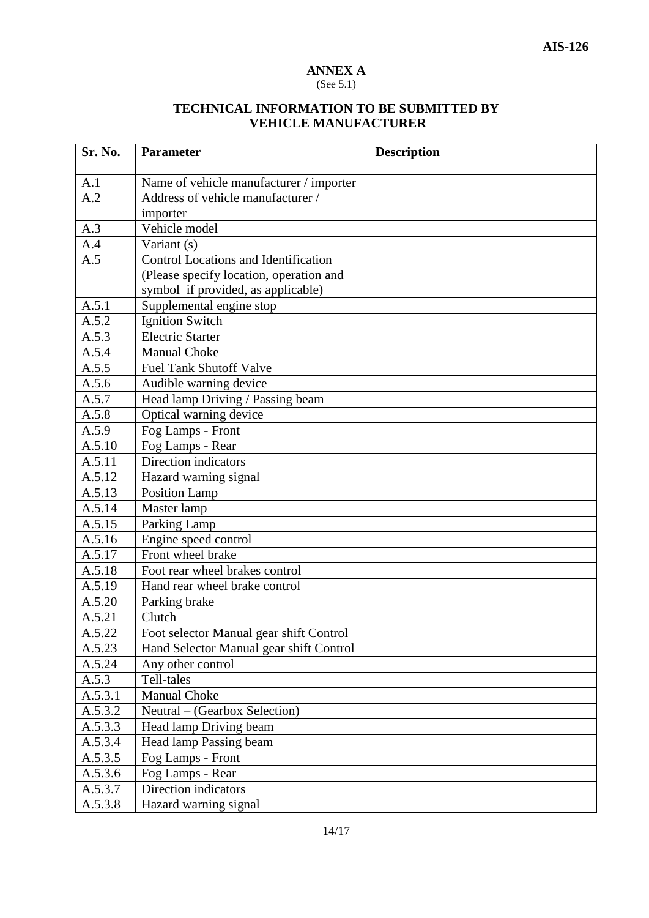## **ANNEX A**

#### (See 5.1)

#### **TECHNICAL INFORMATION TO BE SUBMITTED BY VEHICLE MANUFACTURER**

| Sr. No.              | <b>Parameter</b>                        | <b>Description</b> |
|----------------------|-----------------------------------------|--------------------|
|                      | Name of vehicle manufacturer / importer |                    |
| A.1<br>A.2           | Address of vehicle manufacturer /       |                    |
|                      |                                         |                    |
|                      | importer<br>Vehicle model               |                    |
| A.3                  |                                         |                    |
| A.4                  | Variant (s)                             |                    |
| A.5                  | Control Locations and Identification    |                    |
|                      | (Please specify location, operation and |                    |
|                      | symbol if provided, as applicable)      |                    |
| A.5.1                | Supplemental engine stop                |                    |
| A.5.2                | <b>Ignition Switch</b>                  |                    |
| A.5.3                | <b>Electric Starter</b>                 |                    |
| A.5.4                | <b>Manual Choke</b>                     |                    |
| A.5.5                | <b>Fuel Tank Shutoff Valve</b>          |                    |
| A.5.6                | Audible warning device                  |                    |
| A.5.7                | Head lamp Driving / Passing beam        |                    |
| A.5.8                | Optical warning device                  |                    |
| A.5.9                | Fog Lamps - Front                       |                    |
| A.5.10               | Fog Lamps - Rear                        |                    |
| A.5.11               | Direction indicators                    |                    |
| A.5.12               | Hazard warning signal                   |                    |
| A.5.13               | Position Lamp                           |                    |
| A.5.14               | Master lamp                             |                    |
| A.5.15               | Parking Lamp                            |                    |
| A.5.16               | Engine speed control                    |                    |
| A.5.17               | Front wheel brake                       |                    |
| A.5.18               | Foot rear wheel brakes control          |                    |
| A.5.19               | Hand rear wheel brake control           |                    |
| A.5.20               | Parking brake                           |                    |
| A.5.21               | Clutch                                  |                    |
| A.5.22               | Foot selector Manual gear shift Control |                    |
| A.5.23               | Hand Selector Manual gear shift Control |                    |
| A.5.24               | Any other control                       |                    |
| A.5.3                | Tell-tales                              |                    |
| A.5.3.1              | <b>Manual Choke</b>                     |                    |
| A.5.3.2              | Neutral – (Gearbox Selection)           |                    |
| A.5.3.3              | Head lamp Driving beam                  |                    |
| $A.5.\overline{3.4}$ | Head lamp Passing beam                  |                    |
| A.5.3.5              | Fog Lamps - Front                       |                    |
| A.5.3.6              | Fog Lamps - Rear                        |                    |
| A.5.3.7              | Direction indicators                    |                    |
| A.5.3.8              | Hazard warning signal                   |                    |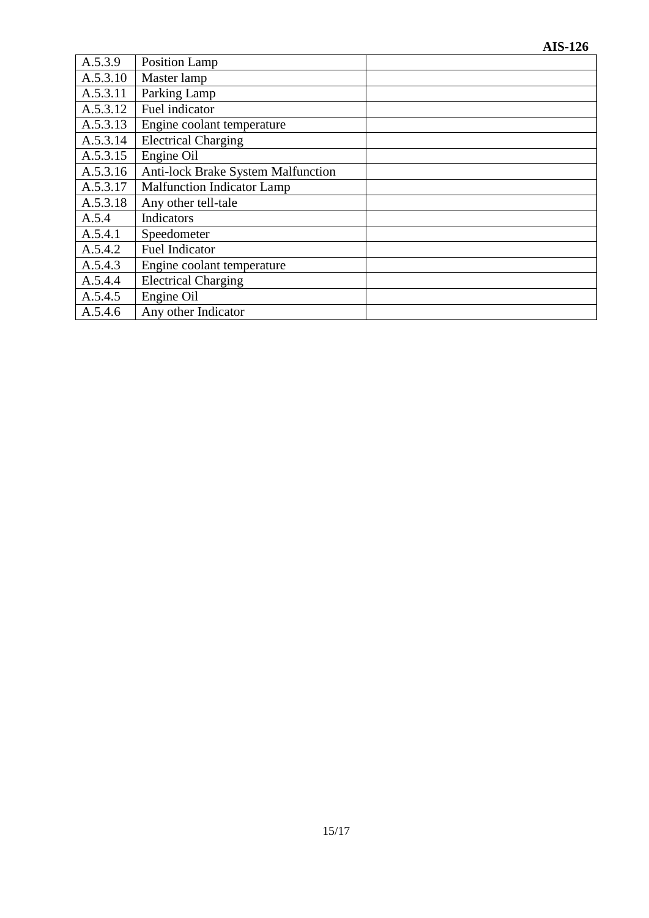| A.5.3.9  | Position Lamp                             |
|----------|-------------------------------------------|
| A.5.3.10 | Master lamp                               |
| A.5.3.11 | Parking Lamp                              |
| A.5.3.12 | Fuel indicator                            |
| A.5.3.13 | Engine coolant temperature                |
| A.5.3.14 | <b>Electrical Charging</b>                |
| A.5.3.15 | Engine Oil                                |
| A.5.3.16 | <b>Anti-lock Brake System Malfunction</b> |
| A.5.3.17 | <b>Malfunction Indicator Lamp</b>         |
| A.5.3.18 | Any other tell-tale                       |
| A.5.4    | Indicators                                |
| A.5.4.1  | Speedometer                               |
| A.5.4.2  | <b>Fuel Indicator</b>                     |
| A.5.4.3  | Engine coolant temperature                |
| A.5.4.4  | <b>Electrical Charging</b>                |
| A.5.4.5  | Engine Oil                                |
| A.5.4.6  | Any other Indicator                       |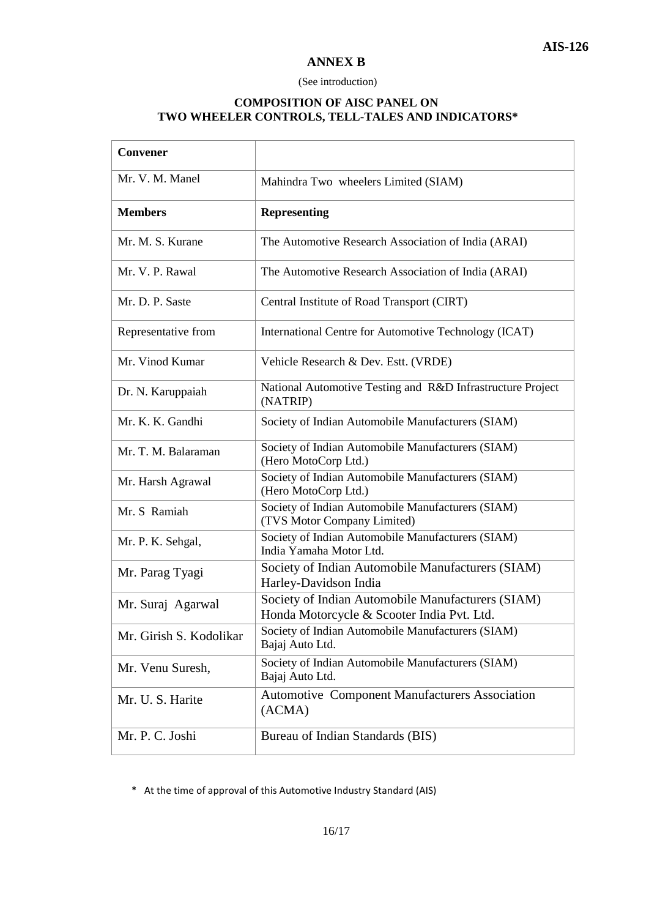#### **ANNEX B**

#### (See introduction)

#### **COMPOSITION OF AISC PANEL ON TWO WHEELER CONTROLS, TELL-TALES AND INDICATORS\***

| Convener                |                                                                                                 |
|-------------------------|-------------------------------------------------------------------------------------------------|
| Mr. V. M. Manel         | Mahindra Two wheelers Limited (SIAM)                                                            |
| <b>Members</b>          | <b>Representing</b>                                                                             |
| Mr. M. S. Kurane        | The Automotive Research Association of India (ARAI)                                             |
| Mr. V. P. Rawal         | The Automotive Research Association of India (ARAI)                                             |
| Mr. D. P. Saste         | Central Institute of Road Transport (CIRT)                                                      |
| Representative from     | International Centre for Automotive Technology (ICAT)                                           |
| Mr. Vinod Kumar         | Vehicle Research & Dev. Estt. (VRDE)                                                            |
| Dr. N. Karuppaiah       | National Automotive Testing and R&D Infrastructure Project<br>(NATRIP)                          |
| Mr. K. K. Gandhi        | Society of Indian Automobile Manufacturers (SIAM)                                               |
| Mr. T. M. Balaraman     | Society of Indian Automobile Manufacturers (SIAM)<br>(Hero MotoCorp Ltd.)                       |
| Mr. Harsh Agrawal       | Society of Indian Automobile Manufacturers (SIAM)<br>(Hero MotoCorp Ltd.)                       |
| Mr. S Ramiah            | Society of Indian Automobile Manufacturers (SIAM)<br>(TVS Motor Company Limited)                |
| Mr. P. K. Sehgal,       | Society of Indian Automobile Manufacturers (SIAM)<br>India Yamaha Motor Ltd.                    |
| Mr. Parag Tyagi         | Society of Indian Automobile Manufacturers (SIAM)<br>Harley-Davidson India                      |
| Mr. Suraj Agarwal       | Society of Indian Automobile Manufacturers (SIAM)<br>Honda Motorcycle & Scooter India Pvt. Ltd. |
| Mr. Girish S. Kodolikar | Society of Indian Automobile Manufacturers (SIAM)<br>Bajaj Auto Ltd.                            |
| Mr. Venu Suresh,        | Society of Indian Automobile Manufacturers (SIAM)<br>Bajaj Auto Ltd.                            |
| Mr. U. S. Harite        | <b>Automotive Component Manufacturers Association</b><br>(ACMA)                                 |
| Mr. P. C. Joshi         | Bureau of Indian Standards (BIS)                                                                |

\* At the time of approval of this Automotive Industry Standard (AIS)